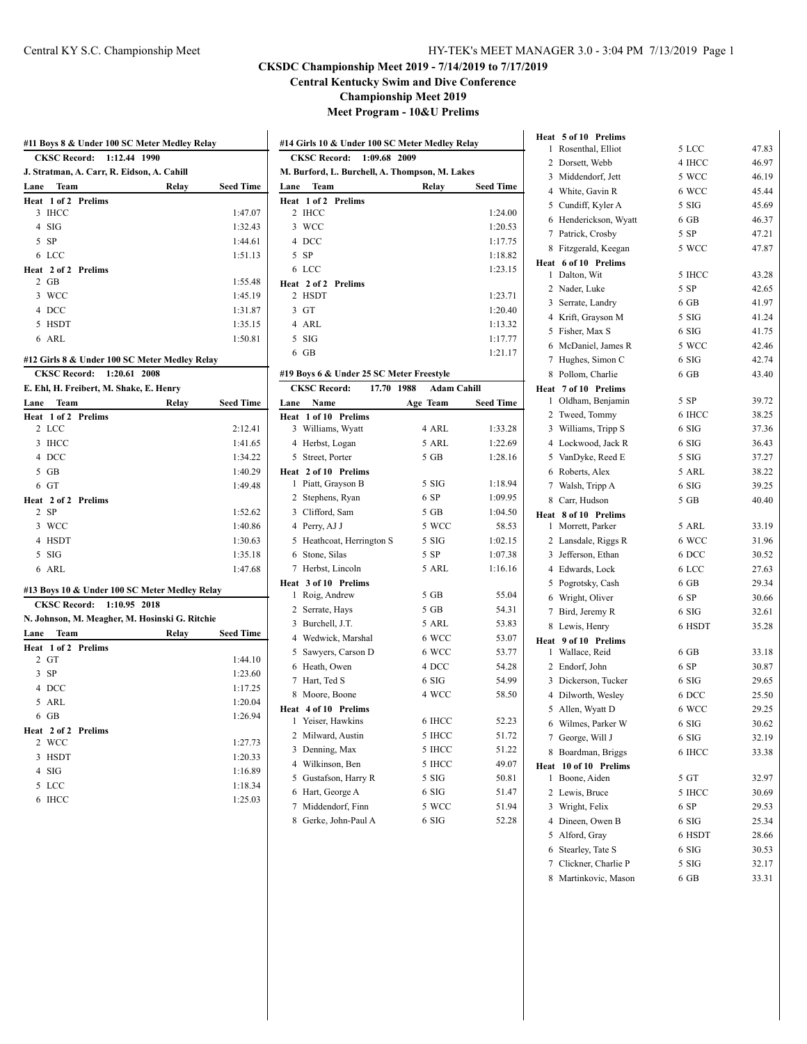**Central Kentucky Swim and Dive Conference**

**Championship Meet 2019**

|   |                     | #11 Boys 8 & Under 100 SC Meter Medley Relay   |                    |
|---|---------------------|------------------------------------------------|--------------------|
|   |                     | CKSC Record: 1:12.44 1990                      |                    |
|   |                     | J. Stratman, A. Carr, R. Eidson, A. Cahill     |                    |
|   | Lane Team           | Relay                                          | <b>Seed Time</b>   |
|   |                     | Heat 1 of 2 Prelims                            |                    |
|   | 3 IHCC              |                                                | 1:47.07            |
|   | $4$ SIG             |                                                | 1:32.43            |
|   | $5$ SP              |                                                | 1:44.61            |
|   | 6 LCC               |                                                | 1:51.13            |
|   |                     | Heat 2 of 2 Prelims                            |                    |
|   | $2$ GB<br>3 WCC     |                                                | 1:55.48            |
|   | 4 DCC               |                                                | 1:45.19<br>1:31.87 |
|   | 5 HSDT              |                                                | 1:35.15            |
|   | 6 ARL               |                                                | 1:50.81            |
|   |                     |                                                |                    |
|   |                     | #12 Girls 8 & Under 100 SC Meter Medley Relay  |                    |
|   | <b>CKSC Record:</b> | 1:20.61 2008                                   |                    |
|   |                     | E. Ehl, H. Freibert, M. Shake, E. Henry        |                    |
|   | Lane Team           | Relay                                          | <b>Seed Time</b>   |
|   | 2 LCC               | Heat 1 of 2 Prelims                            | 2:12.41            |
|   | 3 IHCC              |                                                | 1:41.65            |
|   | 4 DCC               |                                                | 1:34.22            |
|   | $5$ GB              |                                                | 1:40.29            |
|   | 6 GT                |                                                | 1:49.48            |
|   |                     |                                                |                    |
|   | 2 SP                | Heat 2 of 2 Prelims                            | 1:52.62            |
|   | 3 WCC               |                                                | 1:40.86            |
|   | 4 HSDT              |                                                | 1:30.63            |
|   | $5$ SIG             |                                                | 1:35.18            |
|   | 6 ARL               |                                                | 1:47.68            |
|   |                     |                                                |                    |
|   |                     | #13 Boys 10 & Under 100 SC Meter Medley Relay  |                    |
|   |                     | CKSC Record: 1:10.95 2018                      |                    |
|   |                     | N. Johnson, M. Meagher, M. Hosinski G. Ritchie |                    |
|   | Lane Team           | Relay<br>Heat 1 of 2 Prelims                   | <b>Seed Time</b>   |
|   | 2 GT                |                                                | 1:44.10            |
|   | $3$ SP              |                                                | 1:23.60            |
|   |                     |                                                | 1:17.25            |
|   | 4 DCC               |                                                |                    |
|   | 5 ARL               |                                                |                    |
|   | $6$ GB              |                                                | 1:20.04<br>1:26.94 |
|   | Heat 2 of 2         | Prelims                                        |                    |
| 2 | WCC                 |                                                |                    |
|   | 3 HSDT              |                                                | 1:27.73<br>1:20.33 |
|   | 4 SIG               |                                                |                    |
|   | 5 LCC               |                                                | 1:16.89<br>1:18.34 |

|        | <b>CKSC Record:</b><br>1:09.68 2009            |                    |                                  |
|--------|------------------------------------------------|--------------------|----------------------------------|
|        | M. Burford, L. Burchell, A. Thompson, M. Lakes |                    |                                  |
| Lane   | Team                                           | Relay              | <b>Seed Time</b>                 |
| Heat   | 1 of 2 Prelims                                 |                    |                                  |
| 2      | <b>IHCC</b>                                    |                    | 1:24.00                          |
| 3      | WCC                                            |                    | 1:20.53                          |
|        | 4 DCC                                          |                    | 1:17.75                          |
|        | $5$ SP                                         |                    | 1:18.82                          |
|        | 6 LCC                                          |                    | 1:23.15                          |
|        | Heat 2 of 2<br>Prelims                         |                    |                                  |
|        | 2 HSDT                                         |                    | 1:23.71                          |
|        | $3$ GT                                         |                    | 1:20.40                          |
|        | 4 ARL                                          |                    | 1:13.32                          |
|        | $5$ SIG                                        |                    | 1:17.77                          |
|        | $6$ GB                                         |                    | 1:21.17                          |
|        | #19 Boys 6 & Under 25 SC Meter Freestyle       |                    |                                  |
|        | <b>CKSC Record:</b><br>17.70 1988              | <b>Adam Cahill</b> |                                  |
| Lane   | Name                                           | Age Team           | <b>Seed Time</b>                 |
| Heat   | 1 of 10 Prelims                                |                    |                                  |
| 3      | Williams, Wyatt                                | 4 ARL              | 1:33.28                          |
|        | 4 Herbst, Logan                                | 5 ARL              | 1:22.69                          |
|        | 5 Street, Porter                               | 5 GB               | 1:28.16                          |
|        | Heat 2 of 10 Prelims                           |                    |                                  |
| 1      | Piatt, Grayson B                               | 5 SIG              | 1:18.94                          |
|        | 2 Stephens, Ryan                               | 6 SP               | 1:09.95                          |
|        | 3 Clifford, Sam                                | 5 GB               | 1:04.50                          |
|        | 4 Perry, AJ J                                  | 5 WCC              | 58.53                            |
|        | 5 Heathcoat, Herrington S                      | 5 SIG              | 1:02.15                          |
|        | 6 Stone, Silas                                 | 5 SP               | 1:07.38                          |
|        |                                                |                    |                                  |
|        | 7 Herbst, Lincoln                              | 5 ARL              | 1:16.16                          |
|        | Heat 3 of 10 Prelims                           |                    |                                  |
| 1      | Roig, Andrew                                   | 5 GB               | 55.04                            |
|        | 2 Serrate, Hays                                | 5 GB               | 54.31                            |
|        | 3 Burchell, J.T.                               | 5 ARL              | 53.83                            |
|        | 4 Wedwick, Marshal                             | 6 WCC              | 53.07                            |
| 5      | Sawyers, Carson D                              | 6 WCC              | 53.77                            |
|        | 6 Heath, Owen                                  | 4 DCC              | 54.28                            |
|        | 7 Hart, Ted S                                  | 6 SIG              | 54.99                            |
| 8      | Moore, Boone                                   | 4 WCC              | 58.50                            |
|        | Heat 4 of 10 Prelims                           |                    |                                  |
| 1      | Yeiser, Hawkins                                | 6 IHCC             | 52.23                            |
| 2      | Milward, Austin                                | 5 IHCC             |                                  |
| 3      | Denning, Max                                   | 5 IHCC             | 51.72<br>51.22                   |
|        | 4 Wilkinson, Ben                               | 5 IHCC             | 49.07                            |
| 5      | Gustafson, Harry R                             | 5 SIG              |                                  |
| 6      | Hart, George A                                 | 6 SIG              |                                  |
| 7<br>8 | Middendorf, Finn<br>Gerke, John-Paul A         | 5 WCC<br>6 SIG     | 50.81<br>51.47<br>51.94<br>52.28 |

|      | Heat 5 of 10 Prelims  |        |       |
|------|-----------------------|--------|-------|
| 1    | Rosenthal, Elliot     | 5 LCC  | 47.83 |
|      | 2 Dorsett, Webb       | 4 IHCC | 46.97 |
|      | 3 Middendorf, Jett    | 5 WCC  | 46.19 |
|      | 4 White, Gavin R      | 6 WCC  | 45.44 |
|      | 5 Cundiff, Kyler A    | 5 SIG  | 45.69 |
|      | 6 Henderickson, Wyatt | $6$ GB | 46.37 |
|      | 7 Patrick, Crosby     | 5 SP   | 47.21 |
|      | 8 Fitzgerald, Keegan  | 5 WCC  | 47.87 |
|      | Heat 6 of 10 Prelims  |        |       |
|      | 1 Dalton, Wit         | 5 IHCC | 43.28 |
|      | 2 Nader, Luke         | 5 SP   | 42.65 |
|      | 3 Serrate, Landry     | $6$ GB | 41.97 |
|      | 4 Krift, Grayson M    | 5 SIG  | 41.24 |
|      | 5 Fisher, Max S       | 6 SIG  | 41.75 |
|      | 6 McDaniel, James R   | 5 WCC  | 42.46 |
|      | 7 Hughes, Simon C     | 6 SIG  | 42.74 |
|      | 8 Pollom, Charlie     | $6$ GB | 43.40 |
|      | Heat 7 of 10 Prelims  |        |       |
|      | 1 Oldham, Benjamin    | 5 SP   | 39.72 |
|      | 2 Tweed, Tommy        | 6 IHCC | 38.25 |
|      | 3 Williams, Tripp S   | 6 SIG  | 37.36 |
|      | 4 Lockwood, Jack R    | 6 SIG  | 36.43 |
|      | 5 VanDyke, Reed E     | 5 SIG  | 37.27 |
|      | 6 Roberts, Alex       | 5 ARL  | 38.22 |
|      | 7 Walsh, Tripp A      | 6 SIG  | 39.25 |
|      | 8 Carr, Hudson        | 5 GB   | 40.40 |
|      | Heat 8 of 10 Prelims  |        |       |
| 1    | Morrett, Parker       | 5 ARL  | 33.19 |
|      | 2 Lansdale, Riggs R   | 6 WCC  | 31.96 |
|      | 3 Jefferson, Ethan    | 6 DCC  | 30.52 |
|      | 4 Edwards, Lock       | 6 LCC  | 27.63 |
|      | 5 Pogrotsky, Cash     | $6$ GB | 29.34 |
|      | 6 Wright, Oliver      | 6 SP   | 30.66 |
|      | 7 Bird, Jeremy R      | 6 SIG  | 32.61 |
|      | 8 Lewis, Henry        | 6 HSDT | 35.28 |
|      | Heat 9 of 10 Prelims  |        |       |
|      | 1 Wallace, Reid       | 6 GB   | 33.18 |
|      | 2 Endorf, John        | 6 SP   | 30.87 |
|      | 3 Dickerson, Tucker   | 6 SIG  | 29.65 |
|      | 4 Dilworth, Wesley    | 6 DCC  | 25.50 |
|      | 5 Allen, Wyatt D      | 6 WCC  | 29.25 |
|      | 6 Wilmes, Parker W    | 6 SIG  | 30.62 |
|      | 7 George, Will J      | 6 SIG  | 32.19 |
| 8    | Boardman, Briggs      | 6 IHCC | 33.38 |
| Heat | 10 of 10 Prelims      |        |       |
| 1    | Boone, Aiden          | 5 GT   | 32.97 |
|      | 2 Lewis, Bruce        | 5 IHCC | 30.69 |
|      | 3 Wright, Felix       | 6 SP   | 29.53 |
|      | 4 Dineen, Owen B      | 6 SIG  | 25.34 |
|      | 5 Alford, Gray        | 6 HSDT | 28.66 |
|      | 6 Stearley, Tate S    | 6 SIG  | 30.53 |
|      | 7 Clickner, Charlie P | 5 SIG  | 32.17 |
| 8    | Martinkovic, Mason    | 6 GB   | 33.31 |
|      |                       |        |       |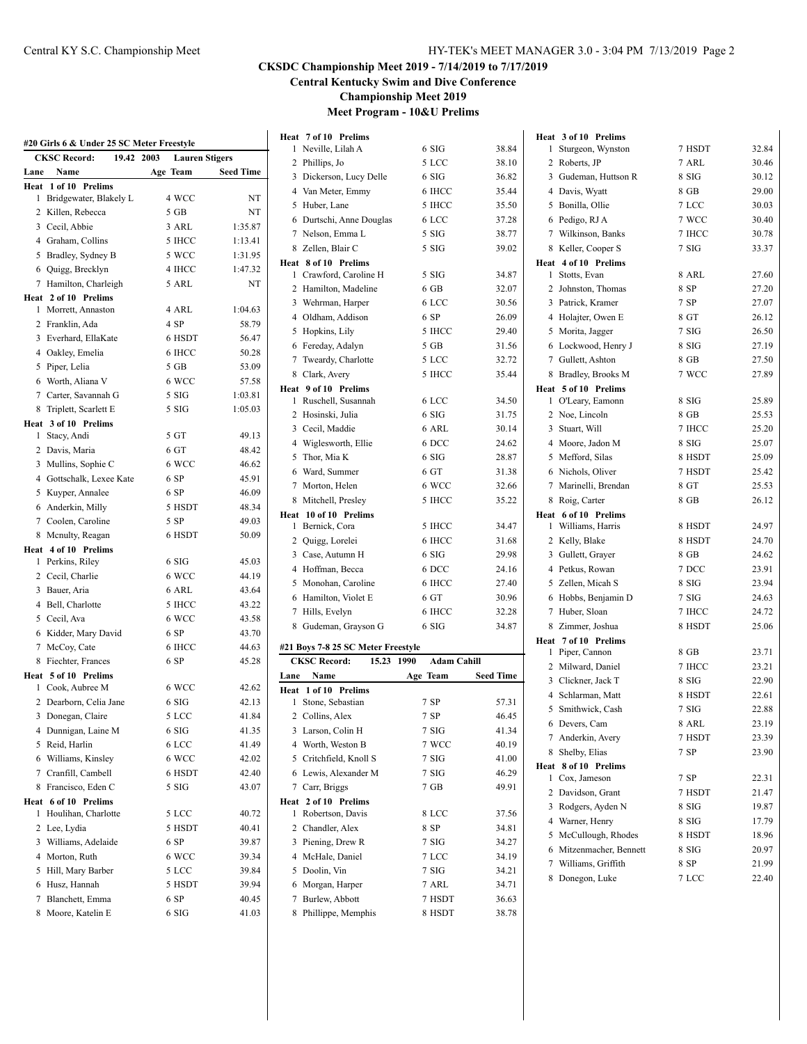|   | #20 Girls 6 & Under 25 SC Meter Freestyle      |                       |                  |
|---|------------------------------------------------|-----------------------|------------------|
|   | <b>CKSC Record:</b><br>19.42 2003              | <b>Lauren Stigers</b> |                  |
|   | Lane Name                                      | Age Team              | <b>Seed Time</b> |
| 1 | Heat 1 of 10 Prelims<br>Bridgewater, Blakely L | 4 WCC                 | NT               |
|   | 2 Killen, Rebecca                              | $5$ GB                | NT               |
|   | 3 Cecil, Abbie                                 | 3 ARL                 | 1:35.87          |
|   | 4 Graham, Collins                              | 5 IHCC                | 1:13.41          |
|   |                                                | 5 WCC                 | 1:31.95          |
|   | 5 Bradley, Sydney B<br>6 Quigg, Brecklyn       | 4 IHCC                | 1:47.32          |
|   | 7 Hamilton, Charleigh                          | 5 ARL                 | NT               |
|   | Heat 2 of 10 Prelims                           |                       |                  |
|   | 1 Morrett, Annaston                            | 4 ARL                 | 1:04.63          |
|   | 2 Franklin, Ada                                | 4 SP                  | 58.79            |
|   | 3 Everhard, EllaKate                           | 6 HSDT                | 56.47            |
|   | 4 Oakley, Emelia                               | 6 IHCC                | 50.28            |
|   | 5 Piper, Lelia                                 | $5$ GB                | 53.09            |
|   | 6 Worth, Aliana V                              | 6 WCC                 | 57.58            |
|   | 7 Carter, Savannah G                           | 5 SIG                 | 1:03.81          |
|   | 8 Triplett, Scarlett E                         | $5$ SIG               | 1:05.03          |
|   | Heat 3 of 10 Prelims                           |                       |                  |
|   | 1 Stacy, Andi                                  | 5 GT                  | 49.13            |
|   | 2 Davis, Maria                                 | 6 GT                  | 48.42            |
|   | 3 Mullins, Sophie C                            | 6 WCC                 | 46.62            |
|   | 4 Gottschalk, Lexee Kate                       | 6 SP                  | 45.91            |
|   | 5 Kuyper, Annalee                              | 6 SP                  | 46.09            |
|   | 6 Anderkin, Milly                              | 5 HSDT                | 48.34            |
|   | 7 Coolen, Caroline                             | 5 SP                  | 49.03            |
|   | 8 Mcnulty, Reagan                              | 6 HSDT                | 50.09            |
|   | Heat 4 of 10 Prelims                           |                       |                  |
|   | 1 Perkins, Riley                               | 6 SIG                 | 45.03            |
|   | 2 Cecil, Charlie                               | 6 WCC                 | 44.19            |
|   | 3 Bauer, Aria                                  | 6 ARL                 | 43.64            |
|   | 4 Bell, Charlotte                              | 5 IHCC                | 43.22            |
|   | 5 Cecil, Ava                                   | 6 WCC                 | 43.58            |
|   | 6 Kidder, Mary David                           | 6 SP                  | 43.70            |
|   | 7 McCoy, Cate                                  | 6 IHCC                | 44.63            |
|   | 8 Fiechter, Frances                            | 6 SP                  | 45.28            |
|   | Heat 5 of 10 Prelims                           |                       |                  |
|   | 1 Cook, Aubree M                               | 6 WCC                 | 42.62            |
|   | 2 Dearborn, Celia Jane                         | 6 SIG                 | 42.13            |
|   | 3 Donegan, Claire                              | 5 LCC                 | 41.84            |
|   | 4 Dunnigan, Laine M                            | 6 SIG                 | 41.35            |
| 5 | Reid, Harlin                                   | 6 LCC                 | 41.49            |
|   | 6 Williams, Kinsley                            | 6 WCC                 | 42.02            |
|   | 7 Cranfill, Cambell                            | 6 HSDT                | 42.40            |
|   | 8 Francisco, Eden C                            | 5 SIG                 | 43.07            |
|   | Heat 6 of 10 Prelims                           |                       |                  |
| 1 | Houlihan, Charlotte                            | 5 LCC                 | 40.72            |
| 2 | Lee, Lydia                                     | 5 HSDT<br>6 SP        | 40.41            |
|   | 3 Williams, Adelaide                           |                       | 39.87            |
|   | 4 Morton, Ruth                                 | 6 WCC                 | 39.34<br>39.84   |
|   | 5 Hill, Mary Barber                            | 5 LCC                 |                  |
|   | 6 Husz, Hannah                                 | 5 HSDT<br>6 SP        | 39.94            |
|   | 7 Blanchett, Emma<br>8 Moore, Katelin E        | 6 SIG                 | 40.45            |
|   |                                                |                       | 41.03            |

**Central Kentucky Swim and Dive Conference**

**Championship Meet 2019**

|      | Heat 7 of 10 Prelims               |                    |                  |              | Heat 3 of 10 Prelims                 |        |       |
|------|------------------------------------|--------------------|------------------|--------------|--------------------------------------|--------|-------|
|      | 1 Neville, Lilah A                 | 6 SIG              | 38.84            |              | 1 Sturgeon, Wynston                  | 7 HSDT | 32.84 |
|      | 2 Phillips, Jo                     | 5 LCC              | 38.10            |              | 2 Roberts, JP                        | 7 ARL  | 30.46 |
|      | 3 Dickerson, Lucy Delle            | 6 SIG              | 36.82            | 3            | Gudeman, Huttson R                   | 8 SIG  | 30.12 |
|      | 4 Van Meter, Emmy                  | 6 IHCC             | 35.44            |              | 4 Davis, Wyatt                       | 8 GB   | 29.00 |
|      | 5 Huber, Lane                      | 5 IHCC             | 35.50            |              | 5 Bonilla, Ollie                     | 7 LCC  | 30.03 |
|      | 6 Durtschi, Anne Douglas           | 6 LCC              | 37.28            |              | 6 Pedigo, RJ A                       | 7 WCC  | 30.40 |
|      | 7 Nelson, Emma L                   | 5 SIG              | 38.77            | 7            | Wilkinson, Banks                     | 7 IHCC | 30.78 |
|      | 8 Zellen, Blair C                  | 5 SIG              | 39.02            | 8            | Keller, Cooper S                     | 7 SIG  | 33.37 |
|      | Heat 8 of 10 Prelims               |                    |                  |              | Heat 4 of 10 Prelims                 |        |       |
|      | 1 Crawford, Caroline H             | 5 SIG              | 34.87            |              | 1 Stotts, Evan                       | 8 ARL  | 27.60 |
|      | 2 Hamilton, Madeline               | 6 GB               | 32.07            |              | 2 Johnston, Thomas                   | 8 SP   | 27.20 |
|      | 3 Wehrman, Harper                  | 6 LCC              | 30.56            |              | 3 Patrick, Kramer                    | 7 SP   | 27.07 |
|      | 4 Oldham, Addison                  | 6 SP               | 26.09            |              | 4 Holajter, Owen E                   | 8 GT   | 26.12 |
|      | 5 Hopkins, Lily                    | 5 IHCC             | 29.40            |              | 5 Morita, Jagger                     | 7 SIG  | 26.50 |
|      | 6 Fereday, Adalyn                  | 5 GB               | 31.56            |              | 6 Lockwood, Henry J                  | 8 SIG  | 27.19 |
|      | 7 Tweardy, Charlotte               | 5 LCC              | 32.72            | 7            | Gullett, Ashton                      | 8 GB   | 27.50 |
|      | 8 Clark, Avery                     | 5 IHCC             | 35.44            | 8            | Bradley, Brooks M                    | 7 WCC  | 27.89 |
|      | Heat 9 of 10 Prelims               |                    |                  |              | Heat 5 of 10 Prelims                 |        |       |
|      | 1 Ruschell, Susannah               | 6 LCC              | 34.50            |              | 1 O'Leary, Eamonn                    | 8 SIG  | 25.89 |
|      | 2 Hosinski, Julia                  | 6 SIG              | 31.75            |              | 2 Noe, Lincoln                       | 8 GB   | 25.53 |
|      | 3 Cecil, Maddie                    | 6 ARL              | 30.14            |              | 3 Stuart, Will                       | 7 IHCC | 25.20 |
|      | 4 Wiglesworth, Ellie               | 6 DCC              | 24.62            |              | 4 Moore, Jadon M                     | 8 SIG  | 25.07 |
|      | 5 Thor, Mia K                      | 6 SIG              | 28.87            |              | 5 Mefford, Silas                     | 8 HSDT | 25.09 |
|      | 6 Ward, Summer                     | 6 GT               | 31.38            |              | 6 Nichols, Oliver                    | 7 HSDT | 25.42 |
|      | 7 Morton, Helen                    | 6 WCC              | 32.66            | 7            | Marinelli, Brendan                   | 8 GT   | 25.53 |
|      | 8 Mitchell, Presley                | 5 IHCC             | 35.22            |              | 8 Roig, Carter                       | 8 GB   | 26.12 |
|      | Heat 10 of 10 Prelims              |                    |                  |              | Heat 6 of 10 Prelims                 |        |       |
|      | 1 Bernick, Cora                    | 5 IHCC             | 34.47            |              | 1 Williams, Harris                   | 8 HSDT | 24.97 |
|      | 2 Quigg, Lorelei                   | 6 IHCC             | 31.68            |              | 2 Kelly, Blake                       | 8 HSDT | 24.70 |
|      | 3 Case, Autumn H                   | 6 SIG              | 29.98            |              | 3 Gullett, Grayer                    | 8 GB   | 24.62 |
|      | 4 Hoffman, Becca                   | 6 DCC              | 24.16            |              | 4 Petkus, Rowan                      | 7 DCC  | 23.91 |
|      | 5 Monohan, Caroline                | 6 IHCC             | 27.40            |              | 5 Zellen, Micah S                    | 8 SIG  | 23.94 |
|      | 6 Hamilton, Violet E               | 6 GT               | 30.96            |              | 6 Hobbs, Benjamin D                  | 7 SIG  | 24.63 |
|      | 7 Hills, Evelyn                    | 6 IHCC             | 32.28            | 7            | Huber, Sloan                         | 7 IHCC | 24.72 |
|      | 8 Gudeman, Grayson G               | 6 SIG              | 34.87            |              | 8 Zimmer, Joshua                     | 8 HSDT | 25.06 |
|      | #21 Boys 7-8 25 SC Meter Freestyle |                    |                  |              | Heat 7 of 10 Prelims                 |        |       |
|      | <b>CKSC Record:</b><br>15.23 1990  | <b>Adam Cahill</b> |                  |              | 1 Piper, Cannon                      | 8 GB   | 23.71 |
| Lane | Name                               | Age Team           | <b>Seed Time</b> |              | 2 Milward, Daniel                    | 7 IHCC | 23.21 |
|      | Heat 1 of 10 Prelims               |                    |                  |              | 3 Clickner, Jack T                   | 8 SIG  | 22.90 |
|      | 1 Stone, Sebastian                 | 7 SP               | 57.31            | 4            | Schlarman, Matt                      | 8 HSDT | 22.61 |
|      | 2 Collins, Alex                    | 7SP                | 46.45            |              | 5 Smithwick, Cash                    | 7 SIG  | 22.88 |
|      | 3 Larson, Colin H                  | 7 SIG              | 41.34            |              | 6 Devers, Cam                        | 8 ARL  | 23.19 |
|      | 4 Worth, Weston B                  | 7 WCC              | 40.19            |              | 7 Anderkin, Avery                    | 7 HSDT | 23.39 |
|      | 5 Critchfield, Knoll S             | 7 SIG              | 41.00            |              | 8 Shelby, Elias                      | 7 SP   | 23.90 |
|      | 6 Lewis, Alexander M               | 7 SIG              | 46.29            | $\mathbf{1}$ | Heat 8 of 10 Prelims<br>Cox, Jameson | 7 SP   | 22.31 |
|      | 7 Carr, Briggs                     | 7 GB               | 49.91            |              | 2 Davidson, Grant                    |        |       |
|      | Heat 2 of 10 Prelims               |                    |                  |              |                                      | 7 HSDT | 21.47 |
|      | 1 Robertson, Davis                 | 8 LCC              | 37.56            | 3            | Rodgers, Ayden N                     | 8 SIG  | 19.87 |
|      | 2 Chandler, Alex                   | 8 SP               | 34.81            |              | 4 Warner, Henry                      | 8 SIG  | 17.79 |
|      | 3 Piening, Drew R                  | 7 SIG              | 34.27            |              | 5 McCullough, Rhodes                 | 8 HSDT | 18.96 |
|      | 4 McHale, Daniel                   | 7 LCC              | 34.19            | 6            | Mitzenmacher, Bennett                | 8 SIG  | 20.97 |
|      | 5 Doolin, Vin                      | 7 SIG              | 34.21            |              | 7 Williams, Griffith                 | 8 SP   | 21.99 |
|      | 6 Morgan, Harper                   | 7 ARL              | 34.71            |              | 8 Donegon, Luke                      | 7 LCC  | 22.40 |
|      | 7 Burlew, Abbott                   | 7 HSDT             | 36.63            |              |                                      |        |       |
|      | 8 Phillippe, Memphis               | 8 HSDT             | 38.78            |              |                                      |        |       |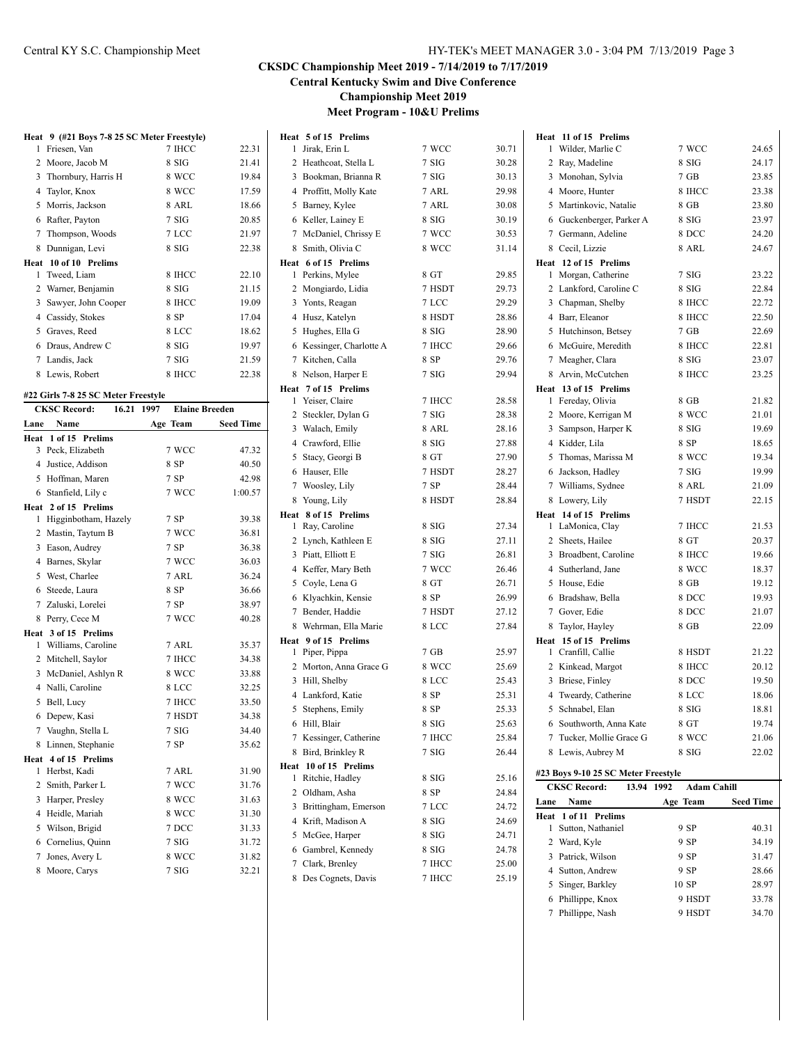**Central Kentucky Swim and Dive Conference**

**Championship Meet 2019**

**Meet Program - 10&U Prelims**

| Heat 9 (#21 Boys 7-8 25 SC Meter Freestyle) |                                     |                  | Heat 5 of 15 Prelims     |        |       |
|---------------------------------------------|-------------------------------------|------------------|--------------------------|--------|-------|
| 1 Friesen, Van                              | 7 IHCC                              | 22.31            | 1 Jirak, Erin L          | 7 WCC  | 30.71 |
| 2 Moore, Jacob M                            | 8 SIG                               | 21.41            | 2 Heathcoat, Stella L    | 7 SIG  | 30.28 |
| 3 Thornbury, Harris H                       | 8 WCC                               | 19.84            | 3 Bookman, Brianna R     | 7 SIG  | 30.13 |
| 4 Taylor, Knox                              | 8 WCC                               | 17.59            | 4 Proffitt, Molly Kate   | 7 ARL  | 29.98 |
| 5 Morris, Jackson                           | 8 ARL                               | 18.66            | 5 Barney, Kylee          | 7 ARL  | 30.08 |
| 6 Rafter, Payton                            | 7 SIG                               | 20.85            | 6 Keller, Lainey E       | 8 SIG  | 30.19 |
| 7 Thompson, Woods                           | 7 LCC                               | 21.97            | 7 McDaniel, Chrissy E    | 7 WCC  | 30.53 |
| 8 Dunnigan, Levi                            | 8 SIG                               | 22.38            | 8 Smith, Olivia C        | 8 WCC  | 31.14 |
| Heat 10 of 10 Prelims                       |                                     |                  | Heat 6 of 15 Prelims     |        |       |
| 1 Tweed, Liam                               | 8 IHCC                              | 22.10            | 1 Perkins, Mylee         | 8 GT   | 29.85 |
| 2 Warner, Benjamin                          | 8 SIG                               | 21.15            | 2 Mongiardo, Lidia       | 7 HSDT | 29.73 |
| 3 Sawyer, John Cooper                       | 8 IHCC                              | 19.09            | 3 Yonts, Reagan          | 7 LCC  | 29.29 |
| 4 Cassidy, Stokes                           | 8 SP                                | 17.04            | 4 Husz, Katelyn          | 8 HSDT | 28.86 |
| 5 Graves, Reed                              | 8 LCC                               | 18.62            | 5 Hughes, Ella G         | 8 SIG  | 28.90 |
| 6 Draus, Andrew C                           | 8 SIG                               | 19.97            | 6 Kessinger, Charlotte A | 7 IHCC | 29.66 |
| 7 Landis, Jack                              | 7 SIG                               | 21.59            | 7 Kitchen, Calla         | 8 SP   | 29.76 |
| 8 Lewis, Robert                             | 8 IHCC                              | 22.38            | 8 Nelson, Harper E       | 7 SIG  | 29.94 |
| #22 Girls 7-8 25 SC Meter Freestyle         |                                     |                  | Heat 7 of 15 Prelims     |        |       |
| <b>CKSC Record:</b>                         | 16.21 1997<br><b>Elaine Breeden</b> |                  | 1 Yeiser, Claire         | 7 IHCC | 28.58 |
| Name<br>Lane                                | Age Team                            | <b>Seed Time</b> | 2 Steckler, Dylan G      | 7 SIG  | 28.38 |
| Heat 1 of 15 Prelims                        |                                     |                  | 3 Walach, Emily          | 8 ARL  | 28.16 |
| 3 Peck, Elizabeth                           | 7 WCC                               | 47.32            | 4 Crawford, Ellie        | 8 SIG  | 27.88 |
| 4 Justice, Addison                          | 8 SP                                | 40.50            | 5 Stacy, Georgi B        | 8 GT   | 27.90 |
| 5 Hoffman, Maren                            | 7 SP                                | 42.98            | 6 Hauser, Elle           | 7 HSDT | 28.27 |
| 6 Stanfield, Lily c                         | 7 WCC                               | 1:00.57          | 7 Woosley, Lily          | 7 SP   | 28.44 |
| Heat 2 of 15 Prelims                        |                                     |                  | 8 Young, Lily            | 8 HSDT | 28.84 |
| 1 Higginbotham, Hazely                      | 7 SP                                | 39.38            | Heat 8 of 15 Prelims     |        |       |
| 2 Mastin, Taytum B                          | 7 WCC                               | 36.81            | 1 Ray, Caroline          | 8 SIG  | 27.34 |
| 3 Eason, Audrey                             | 7 SP                                | 36.38            | 2 Lynch, Kathleen E      | 8 SIG  | 27.11 |
| 4 Barnes, Skylar                            | 7 WCC                               | 36.03            | 3 Piatt, Elliott E       | 7 SIG  | 26.81 |
| 5 West, Charlee                             | 7 ARL                               | 36.24            | 4 Keffer, Mary Beth      | 7 WCC  | 26.46 |
| 6 Steede, Laura                             | 8 SP                                | 36.66            | 5 Coyle, Lena G          | 8 GT   | 26.71 |
| 7 Zaluski, Lorelei                          | 7 SP                                | 38.97            | 6 Klyachkin, Kensie      | 8 SP   | 26.99 |
| 8 Perry, Cece M                             | 7 WCC                               | 40.28            | 7 Bender, Haddie         | 7 HSDT | 27.12 |
| Heat 3 of 15 Prelims                        |                                     |                  | 8 Wehrman, Ella Marie    | 8 LCC  | 27.84 |
| 1 Williams, Caroline                        | 7 ARL                               | 35.37            | Heat 9 of 15 Prelims     | 7 GB   | 25.97 |
| 2 Mitchell, Saylor                          | 7 IHCC                              | 34.38            | 1 Piper, Pippa           |        |       |
| 3 McDaniel, Ashlyn R                        | 8 WCC                               | 33.88            | 2 Morton, Anna Grace G   | 8 WCC  | 25.69 |
| 4 Nalli, Caroline                           | 8 LCC                               | 32.25            | 3 Hill, Shelby           | 8 LCC  | 25.43 |
| 5 Bell, Lucy                                | 7 IHCC                              | 33.50            | 4 Lankford, Katie        | 8 SP   | 25.31 |
| 6 Depew, Kasi                               | 7 HSDT                              | 34.38            | 5 Stephens, Emily        | 8 SP   | 25.33 |
| 7 Vaughn, Stella L                          | 7SIG                                | 34.40            | 6 Hill, Blair            | 8 SIG  | 25.63 |
| 8 Linnen, Stephanie                         | 7 SP                                | 35.62            | 7 Kessinger, Catherine   | 7 IHCC | 25.84 |
| Heat 4 of 15 Prelims                        |                                     |                  | 8 Bird, Brinkley R       | 7 SIG  | 26.44 |
| 1 Herbst, Kadi                              | 7 ARL                               | 31.90            | Heat 10 of 15 Prelims    |        |       |
| 2 Smith, Parker L                           | 7 WCC                               | 31.76            | 1 Ritchie, Hadley        | 8 SIG  | 25.16 |
| 3 Harper, Presley                           | 8 WCC                               | 31.63            | 2 Oldham, Asha           | 8 SP   | 24.84 |
| 4 Heidle, Mariah                            | 8 WCC                               | 31.30            | 3 Brittingham, Emerson   | 7 LCC  | 24.72 |
| 5 Wilson, Brigid                            | 7 DCC                               | 31.33            | 4 Krift, Madison A       | 8 SIG  | 24.69 |
| 6 Cornelius, Quinn                          | 7 SIG                               | 31.72            | 5 McGee, Harper          | 8 SIG  | 24.71 |
| 7 Jones, Avery L                            | 8 WCC                               | 31.82            | 6 Gambrel, Kennedy       | 8 SIG  | 24.78 |
| 8 Moore, Carys                              | 7 SIG                               | 32.21            | 7 Clark, Brenley         | 7 IHCC | 25.00 |
|                                             |                                     |                  | 8 Des Cognets, Davis     | 7 IHCC | 25.19 |

|       |              | Heat 11 of 15 Prelims                       |                     |                  |
|-------|--------------|---------------------------------------------|---------------------|------------------|
| 30.71 | $\mathbf{1}$ | Wilder, Marlie C                            | 7 WCC               | 24.65            |
| 30.28 | 2            | Ray, Madeline                               | 8 SIG               | 24.17            |
| 30.13 | 3            | Monohan, Sylvia                             | $7$ GB              | 23.85            |
| 29.98 |              | 4 Moore, Hunter                             | 8 IHCC              | 23.38            |
| 30.08 |              | 5 Martinkovic, Natalie                      | 8 GB                | 23.80            |
| 30.19 |              | 6 Guckenberger, Parker A                    | 8 SIG               | 23.97            |
| 30.53 | 7            | Germann, Adeline                            | 8 DCC               | 24.20            |
| 31.14 |              | 8 Cecil, Lizzie                             | 8 ARL               | 24.67            |
|       |              | Heat 12 of 15 Prelims                       |                     |                  |
| 29.85 |              | 1 Morgan, Catherine                         | 7SIG                | 23.22            |
| 29.73 |              | 2 Lankford, Caroline C                      | 8 SIG               | 22.84            |
| 29.29 |              | 3 Chapman, Shelby                           | 8 IHCC              | 22.72            |
| 28.86 |              | 4 Barr, Eleanor                             | 8 IHCC              | 22.50            |
| 28.90 |              | 5 Hutchinson, Betsey                        | 7 GB                | 22.69            |
| 29.66 |              | 6 McGuire, Meredith                         | 8 IHCC              | 22.81            |
| 29.76 | 7            | Meagher, Clara                              | 8 SIG               | 23.07            |
| 29.94 |              | 8 Arvin, McCutchen                          | 8 IHCC              | 23.25            |
|       |              | Heat 13 of 15 Prelims                       |                     |                  |
| 28.58 |              | 1 Fereday, Olivia                           | 8 GB                | 21.82            |
| 28.38 |              | 2 Moore, Kerrigan M                         | 8 WCC               | 21.01            |
| 28.16 |              | 3 Sampson, Harper K                         | 8 SIG               | 19.69            |
| 27.88 |              | 4 Kidder, Lila                              | 8 SP                | 18.65            |
| 27.90 |              | 5 Thomas, Marissa M                         | 8 WCC               | 19.34            |
| 28.27 | 6            | Jackson, Hadley                             | 7SIG                | 19.99            |
| 28.44 | 7            | Williams, Sydnee                            | 8 ARL               | 21.09            |
| 28.84 |              | 8 Lowery, Lily                              | 7 HSDT              | 22.15            |
|       |              | Heat 14 of 15 Prelims                       |                     |                  |
| 27.34 |              | 1 LaMonica, Clay                            | 7 IHCC              | 21.53            |
| 27.11 | 2            | Sheets, Hailee                              | 8 GT                | 20.37            |
| 26.81 |              | 3 Broadbent, Caroline                       | 8 IHCC              | 19.66            |
| 26.46 |              | 4 Sutherland, Jane                          | 8 WCC               | 18.37            |
| 26.71 |              | 5 House, Edie                               | 8 GB                | 19.12            |
| 26.99 | 6            | Bradshaw, Bella                             | 8 DCC               | 19.93            |
| 27.12 |              | 7 Gover, Edie                               | 8 DCC               | 21.07            |
| 27.84 | 8.           | Taylor, Hayley                              | 8 GB                | 22.09            |
| 25.97 |              | Heat 15 of 15 Prelims<br>1 Cranfill, Callie | 8 HSDT              | 21.22            |
| 25.69 |              | 2 Kinkead, Margot                           | 8 IHCC              | 20.12            |
| 25.43 |              | 3 Briese, Finley                            | 8 DCC               | 19.50            |
| 25.31 |              | 4 Tweardy, Catherine                        | 8 LCC               | 18.06            |
| 25.33 | 5            | Schnabel, Elan                              | 8 SIG               | 18.81            |
| 25.63 |              | 6 Southworth, Anna Kate                     | 8 GT                | 19.74            |
| 25.84 | 7            | Tucker, Mollie Grace G                      | 8 WCC               | 21.06            |
| 26.44 |              | 8 Lewis, Aubrey M                           | 8 SIG               | 22.02            |
|       |              |                                             |                     |                  |
| 25.16 |              | #23 Boys 9-10 25 SC Meter Freestyle         |                     |                  |
| 24.84 |              | <b>CKSC Record:</b><br>13.94                | 1992<br>Adam Cahill |                  |
| 24.72 | Lane         | Name                                        | Age Team            | <b>Seed Time</b> |
| 24.69 |              | Heat 1 of 11<br>Prelims                     |                     |                  |
| 24.71 | $\mathbf{1}$ | Sutton, Nathaniel                           | 9 SP                | 40.31            |
| 24.78 |              | 2 Ward, Kyle                                | 9 SP                | 34.19            |
| 25.00 |              | 3 Patrick, Wilson                           | 9 SP                | 31.47            |
| 25.19 |              | 4 Sutton, Andrew                            | 9 SP                | 28.66            |
|       |              | 5 Singer, Barkley                           | 10 SP               | 28.97            |
|       |              | 6 Phillippe, Knox                           | 9 HSDT              | 33.78            |
|       |              | 7 Phillippe, Nash                           | 9 HSDT              | 34.70            |
|       |              |                                             |                     |                  |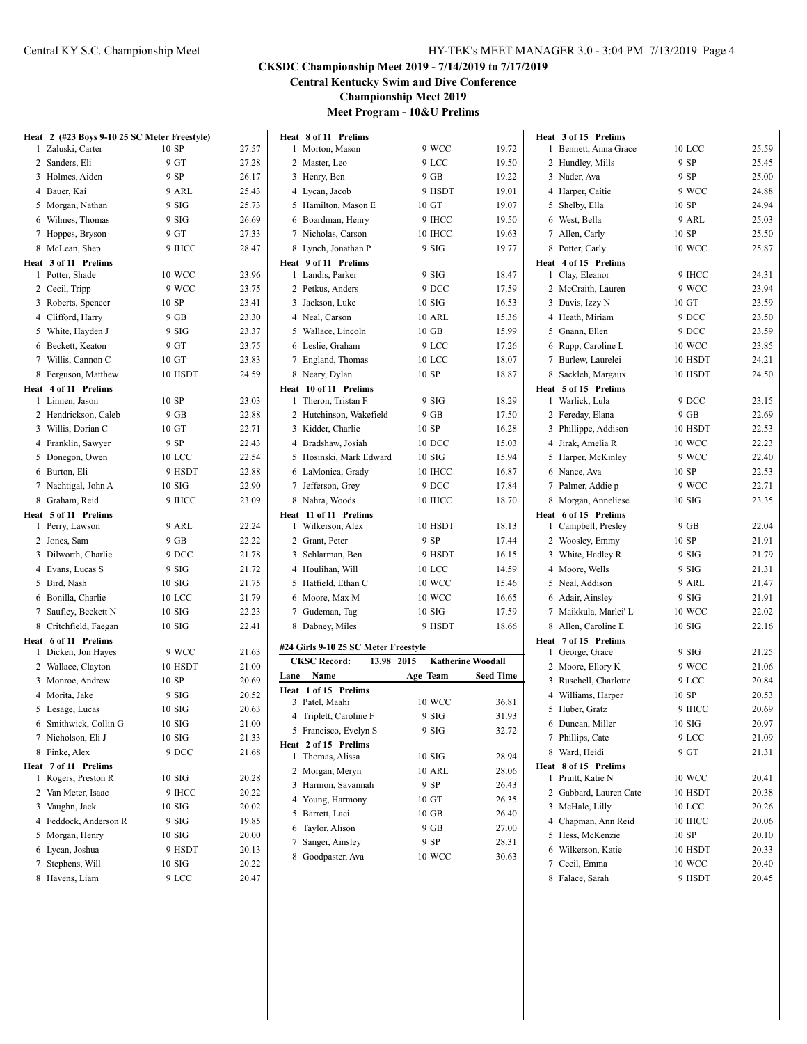**Central Kentucky Swim and Dive Conference**

**Championship Meet 2019**

| Heat 2 (#23 Boys 9-10 25 SC Meter Freestyle) |               |       | Heat 8 of 11 Prelims                 |                 |                          | Heat 3 of 15 Prelims   |               |       |
|----------------------------------------------|---------------|-------|--------------------------------------|-----------------|--------------------------|------------------------|---------------|-------|
| 1 Zaluski, Carter                            | 10 SP         | 27.57 | 1 Morton, Mason                      | 9 WCC           | 19.72                    | 1 Bennett, Anna Grace  | 10 LCC        | 25.59 |
| 2 Sanders, Eli                               | 9 GT          | 27.28 | 2 Master, Leo                        | 9 LCC           | 19.50                    | 2 Hundley, Mills       | 9 SP          | 25.45 |
| 3 Holmes, Aiden                              | 9 SP          | 26.17 | 3 Henry, Ben                         | 9 GB            | 19.22                    | 3 Nader, Ava           | 9 SP          | 25.00 |
| 4 Bauer, Kai                                 | 9 ARL         | 25.43 | 4 Lycan, Jacob                       | 9 HSDT          | 19.01                    | 4 Harper, Caitie       | 9 WCC         | 24.88 |
| 5 Morgan, Nathan                             | 9 SIG         | 25.73 | 5 Hamilton, Mason E                  | 10 GT           | 19.07                    | 5 Shelby, Ella         | 10 SP         | 24.94 |
| 6 Wilmes, Thomas                             | 9 SIG         | 26.69 | 6 Boardman, Henry                    | 9 IHCC          | 19.50                    | 6 West, Bella          | 9 ARL         | 25.03 |
| 7 Hoppes, Bryson                             | 9 GT          | 27.33 | 7 Nicholas, Carson                   | 10 IHCC         | 19.63                    | 7 Allen, Carly         | 10 SP         | 25.50 |
| 8 McLean, Shep                               | 9 IHCC        | 28.47 | 8 Lynch, Jonathan P                  | 9 SIG           | 19.77                    | 8 Potter, Carly        | 10 WCC        | 25.87 |
| Heat 3 of 11 Prelims                         |               |       | Heat 9 of 11 Prelims                 |                 |                          | Heat 4 of 15 Prelims   |               |       |
| 1 Potter, Shade                              | <b>10 WCC</b> | 23.96 | 1 Landis, Parker                     | 9 SIG           | 18.47                    | 1 Clay, Eleanor        | 9 IHCC        | 24.31 |
| 2 Cecil, Tripp                               | 9 WCC         | 23.75 | 2 Petkus, Anders                     | 9 DCC           | 17.59                    | 2 McCraith, Lauren     | 9 WCC         | 23.94 |
| 3 Roberts, Spencer                           | 10 SP         | 23.41 | 3 Jackson, Luke                      | 10SIG           | 16.53                    | 3 Davis, Izzy N        | 10 GT         | 23.59 |
| 4 Clifford, Harry                            | $9$ GB        | 23.30 | 4 Neal, Carson                       | 10 ARL          | 15.36                    | 4 Heath, Miriam        | 9 DCC         | 23.50 |
| 5 White, Hayden J                            | 9 SIG         | 23.37 | 5 Wallace, Lincoln                   | $10$ GB         | 15.99                    | 5 Gnann, Ellen         | 9 DCC         | 23.59 |
| 6 Beckett, Keaton                            | 9 GT          | 23.75 | 6 Leslie, Graham                     | 9 LCC           | 17.26                    | 6 Rupp, Caroline L     | 10 WCC        | 23.85 |
| 7 Willis, Cannon C                           | 10 GT         | 23.83 | 7 England, Thomas                    | <b>10 LCC</b>   | 18.07                    | 7 Burlew, Laurelei     | 10 HSDT       | 24.21 |
| 8 Ferguson, Matthew                          | 10 HSDT       | 24.59 | 8 Neary, Dylan                       | 10 SP           | 18.87                    | 8 Sackleh, Margaux     | 10 HSDT       | 24.50 |
| Heat 4 of 11 Prelims                         |               |       | Heat 10 of 11 Prelims                |                 |                          | Heat 5 of 15 Prelims   |               |       |
| 1 Linnen, Jason                              | 10 SP         | 23.03 | Theron, Tristan F<br>1               | 9 SIG           | 18.29                    | 1 Warlick, Lula        | 9 DCC         | 23.15 |
| 2 Hendrickson, Caleb                         | $9$ GB        | 22.88 | 2 Hutchinson, Wakefield              | 9 GB            | 17.50                    | 2 Fereday, Elana       | 9 GB          | 22.69 |
| 3 Willis, Dorian C                           | 10 GT         | 22.71 | 3 Kidder, Charlie                    | 10 SP           | 16.28                    | 3 Phillippe, Addison   | 10 HSDT       | 22.53 |
| 4 Franklin, Sawyer                           | 9 SP          | 22.43 | 4 Bradshaw, Josiah                   | 10 DCC          | 15.03                    | 4 Jirak, Amelia R      | <b>10 WCC</b> | 22.23 |
| 5 Donegon, Owen                              | 10 LCC        | 22.54 | 5 Hosinski, Mark Edward              | 10SIG           | 15.94                    | 5 Harper, McKinley     | 9 WCC         | 22.40 |
| 6 Burton, Eli                                | 9 HSDT        | 22.88 | 6 LaMonica, Grady                    | 10 IHCC         | 16.87                    | 6 Nance, Ava           | 10 SP         | 22.53 |
| 7 Nachtigal, John A                          | 10SIG         | 22.90 | 7 Jefferson, Grey                    | 9 DCC           | 17.84                    | 7 Palmer, Addie p      | 9 WCC         | 22.71 |
| 8 Graham, Reid                               | 9 IHCC        | 23.09 | 8 Nahra, Woods                       | 10 IHCC         | 18.70                    | 8 Morgan, Anneliese    | 10SIG         | 23.35 |
| Heat 5 of 11 Prelims                         |               |       | Heat 11 of 11 Prelims                |                 |                          | Heat 6 of 15 Prelims   |               |       |
| 1 Perry, Lawson                              | 9 ARL         | 22.24 | Wilkerson, Alex<br>1                 | 10 HSDT         | 18.13                    | 1 Campbell, Presley    | 9 GB          | 22.04 |
| 2 Jones, Sam                                 | 9 GB          | 22.22 | 2 Grant, Peter                       | 9 SP            | 17.44                    | 2 Woosley, Emmy        | 10 SP         | 21.91 |
| 3 Dilworth, Charlie                          | 9 DCC         | 21.78 | 3 Schlarman, Ben                     | 9 HSDT          | 16.15                    | 3 White, Hadley R      | 9 SIG         | 21.79 |
| 4 Evans, Lucas S                             | 9 SIG         | 21.72 | 4 Houlihan, Will                     | <b>10 LCC</b>   | 14.59                    | 4 Moore, Wells         | 9 SIG         | 21.31 |
| 5 Bird, Nash                                 | 10SIG         | 21.75 | 5 Hatfield, Ethan C                  | 10 WCC          | 15.46                    | 5 Neal, Addison        | 9 ARL         | 21.47 |
| 6 Bonilla, Charlie                           | <b>10 LCC</b> | 21.79 | 6 Moore, Max M                       | 10 WCC          | 16.65                    | 6 Adair, Ainsley       | 9 SIG         | 21.91 |
| 7 Saufley, Beckett N                         | 10SIG         | 22.23 | 7 Gudeman, Tag                       | 10SIG           | 17.59                    | 7 Maikkula, Marlei' L  | 10 WCC        | 22.02 |
| 8 Critchfield, Faegan                        | 10SIG         | 22.41 | 8 Dabney, Miles                      | 9 HSDT          | 18.66                    | 8 Allen, Caroline E    | 10SIG         | 22.16 |
| Heat 6 of 11 Prelims                         |               |       | #24 Girls 9-10 25 SC Meter Freestyle |                 |                          | Heat 7 of 15 Prelims   |               |       |
| 1 Dicken, Jon Hayes                          | 9 WCC         | 21.63 | <b>CKSC Record:</b><br>13.98 2015    |                 | <b>Katherine Woodall</b> | 1 George, Grace        | 9 SIG         | 21.25 |
| 2 Wallace, Clayton                           | 10 HSDT       | 21.00 | Lane Name                            | Age Team        | <b>Seed Time</b>         | 2 Moore, Ellory K      | 9 WCC         | 21.06 |
| 3 Monroe, Andrew                             | 10 SP         | 20.69 | Heat 1 of 15 Prelims                 |                 |                          | 3 Ruschell, Charlotte  | 9 LCC         | 20.84 |
| 4 Morita, Jake                               | 9 SIG         | 20.52 | 3 Patel, Maahi                       | 10 WCC          | 36.81                    | 4 Williams, Harper     | 10 SP         | 20.53 |
| 5 Lesage, Lucas                              | 10SIG         | 20.63 | 4 Triplett, Caroline F               | 9 SIG           | 31.93                    | 5 Huber, Gratz         | 9 IHCC        | 20.69 |
| 6 Smithwick, Collin G                        | 10SIG         | 21.00 | 5 Francisco, Evelyn S                | 9 SIG           | 32.72                    | 6 Duncan, Miller       | 10SIG         | 20.97 |
| 7 Nicholson, Eli J                           | 10SIG         | 21.33 | Heat 2 of 15 Prelims                 |                 |                          | 7 Phillips, Cate       | 9 LCC         | 21.09 |
| 8 Finke, Alex                                | 9 DCC         | 21.68 | Thomas, Alissa<br>1                  | 10SIG           | 28.94                    | 8 Ward, Heidi          | 9 GT          | 21.31 |
| Heat 7 of 11 Prelims                         |               |       | 2 Morgan, Meryn                      | <b>10 ARL</b>   | 28.06                    | Heat 8 of 15 Prelims   |               |       |
| 1 Rogers, Preston R                          | 10SIG         | 20.28 | 3 Harmon, Savannah                   | 9 SP            | 26.43                    | 1 Pruitt, Katie N      | 10 WCC        | 20.41 |
| 2 Van Meter, Isaac                           | 9 IHCC        | 20.22 | 4 Young, Harmony                     | $10 \text{ GT}$ | 26.35                    | 2 Gabbard, Lauren Cate | 10 HSDT       | 20.38 |
| 3 Vaughn, Jack                               | 10 SIG        | 20.02 | 5 Barrett, Laci                      | $10$ GB         | 26.40                    | 3 McHale, Lilly        | 10 LCC        | 20.26 |
| 4 Feddock, Anderson R                        | 9 SIG         | 19.85 | 6 Taylor, Alison                     | 9 GB            | 27.00                    | 4 Chapman, Ann Reid    | 10 IHCC       | 20.06 |
| 5 Morgan, Henry                              | 10 SIG        | 20.00 | 7 Sanger, Ainsley                    | 9 SP            | 28.31                    | 5 Hess, McKenzie       | 10 SP         | 20.10 |
| 6 Lycan, Joshua                              | 9 HSDT        | 20.13 | 8 Goodpaster, Ava                    | 10 WCC          | 30.63                    | 6 Wilkerson, Katie     | 10 HSDT       | 20.33 |
| 7 Stephens, Will                             | 10SIG         | 20.22 |                                      |                 |                          | 7 Cecil, Emma          | 10 WCC        | 20.40 |
| 8 Havens, Liam                               | 9 LCC         | 20.47 |                                      |                 |                          | 8 Falace, Sarah        | 9 HSDT        | 20.45 |
|                                              |               |       |                                      |                 |                          |                        |               |       |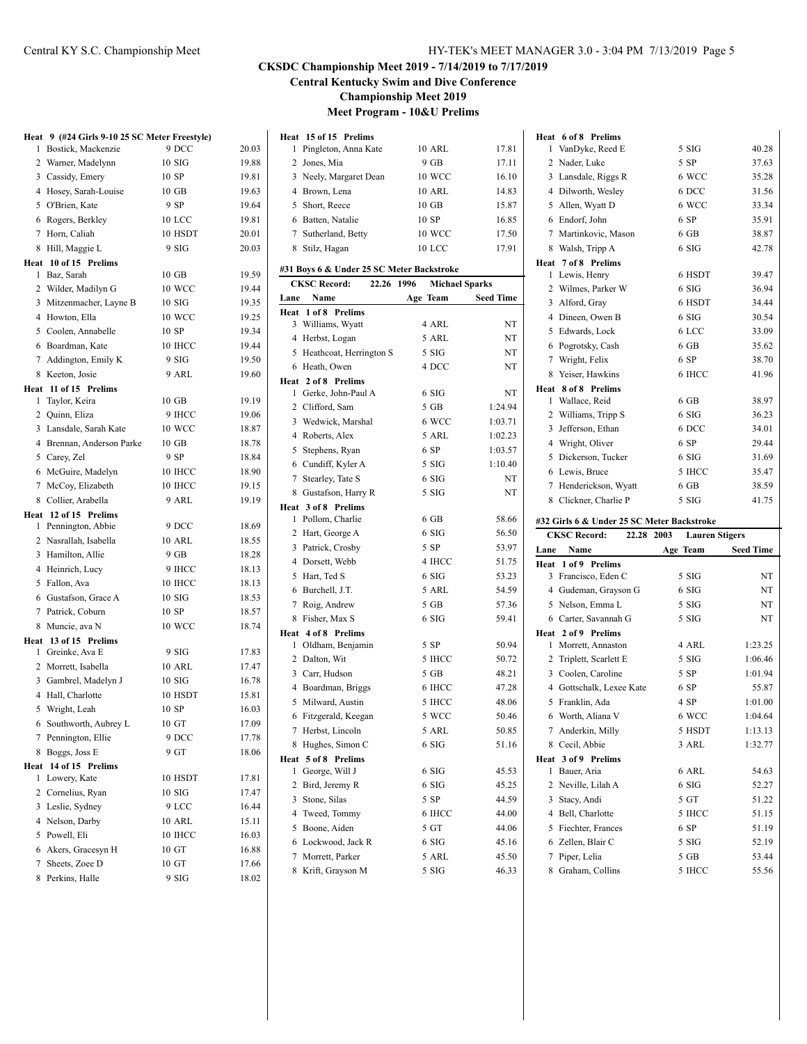### **CKSDC Championship Meet 2019 - 7/14/2019 to 7/17/2019 Central Kentucky Swim and Dive Conference**

**Championship Meet 2019**

|   | Heat 9 (#24 Girls 9-10 25 SC Meter Freestyle) |               |       |
|---|-----------------------------------------------|---------------|-------|
|   | 1 Bostick, Mackenzie                          | 9 DCC         | 20.03 |
|   | 2 Warner, Madelynn                            | 10SIG         | 19.88 |
|   | 3 Cassidy, Emery                              | 10 SP         | 19.81 |
|   | 4 Hosey, Sarah-Louise                         | 10 GB         | 19.63 |
|   | 5 O'Brien, Kate                               | 9 SP          | 19.64 |
|   | 6 Rogers, Berkley                             | 10 LCC        | 19.81 |
|   | 7 Horn, Caliah                                | 10 HSDT       | 20.01 |
|   | 8 Hill, Maggie L                              | 9 SIG         | 20.03 |
|   | Heat 10 of 15 Prelims                         |               |       |
|   | 1 Baz, Sarah                                  | $10$ GB       | 19.59 |
|   | 2 Wilder, Madilyn G                           | 10 WCC        | 19.44 |
|   | 3 Mitzenmacher, Layne B                       | 10SIG         | 19.35 |
|   | 4 Howton, Ella                                | 10 WCC        | 19.25 |
|   | 5 Coolen, Annabelle                           | 10 SP         | 19.34 |
|   | 6 Boardman, Kate                              | 10 IHCC       | 19.44 |
|   | 7 Addington, Emily K                          | 9 SIG         | 19.50 |
|   | 8 Keeton, Josie                               | 9 ARL         | 19.60 |
|   | Heat 11 of 15 Prelims                         |               |       |
|   | 1 Taylor, Keira                               | 10 GB         | 19.19 |
|   | 2 Quinn, Eliza                                | 9 IHCC        | 19.06 |
|   | 3 Lansdale, Sarah Kate                        | 10 WCC        | 18.87 |
|   | 4 Brennan, Anderson Parke                     | $10$ GB       | 18.78 |
|   | 5 Carey, Zel                                  | 9 SP          | 18.84 |
|   | 6 McGuire, Madelyn                            | 10 IHCC       | 18.90 |
|   | 7 McCoy, Elizabeth                            | 10 IHCC       | 19.15 |
|   | 8 Collier, Arabella                           | 9 ARL         | 19.19 |
|   | Heat 12 of 15 Prelims                         |               |       |
|   | 1 Pennington, Abbie                           | 9 DCC         | 18.69 |
|   | 2 Nasrallah, Isabella                         | <b>10 ARL</b> | 18.55 |
|   | 3 Hamilton, Allie                             | $9$ GB        | 18.28 |
|   | 4 Heinrich, Lucy                              | 9 IHCC        | 18.13 |
|   | 5 Fallon, Ava                                 | 10 IHCC       | 18.13 |
|   | 6 Gustafson, Grace A                          | 10SIG         | 18.53 |
|   | 7 Patrick, Coburn                             | 10 SP         | 18.57 |
|   | 8 Muncie, ava N                               | 10 WCC        | 18.74 |
|   | Heat 13 of 15 Prelims                         |               |       |
|   | 1 Greinke, Ava E                              | 9 SIG         | 17.83 |
|   | 2 Morrett, Isabella                           | 10 ARL        | 17.47 |
|   | 3 Gambrel, Madelyn J                          | 10 SIG        | 16.78 |
|   | 4 Hall, Charlotte                             | 10 HSDT       | 15.81 |
|   | 5 Wright, Leah                                | 10 SP         | 16.03 |
|   | 6 Southworth, Aubrey L                        | 10 GT         | 17.09 |
|   | 7 Pennington, Ellie                           | 9 DCC         | 17.78 |
| 8 | Boggs, Joss E                                 | 9 GT          | 18.06 |
|   | Heat 14 of 15 Prelims                         |               |       |
| 1 | Lowery, Kate                                  | 10 HSDT       | 17.81 |
|   | 2 Cornelius, Ryan                             | 10SIG         | 17.47 |
|   | 3 Leslie, Sydney                              | 9 LCC         | 16.44 |
|   | 4 Nelson, Darby                               | <b>10 ARL</b> | 15.11 |
|   | 5 Powell, Eli                                 | 10 IHCC       | 16.03 |
|   | 6 Akers, Gracesyn H                           | 10 GT         | 16.88 |
|   | 7 Sheets, Zoee D                              | 10 GT         | 17.66 |
| 8 | Perkins, Halle                                | 9 SIG         | 18.02 |

|              | Heat 15 of 15 Prelims                                            |                           |                  |
|--------------|------------------------------------------------------------------|---------------------------|------------------|
|              | 1 Pingleton, Anna Kate                                           | 10 ARL                    | 17.81            |
|              | 2 Jones, Mia                                                     | 9 GB                      | 17.11            |
|              | 3 Neely, Margaret Dean                                           | 10 WCC                    | 16.10            |
|              | 4 Brown, Lena                                                    | 10 ARL                    | 14.83            |
|              | 5 Short, Reece                                                   | 10 GB                     | 15.87            |
|              | 6 Batten, Natalie                                                | 10 SP                     | 16.85            |
|              | 7 Sutherland, Betty                                              | 10 WCC                    | 17.50            |
|              | 8 Stilz, Hagan                                                   | 10 LCC                    | 17.91            |
|              |                                                                  |                           |                  |
|              | #31 Boys 6 & Under 25 SC Meter Backstroke<br><b>CKSC Record:</b> | 22.26 1996 Michael Sparks |                  |
| Lane         | Name                                                             | Age Team                  | <b>Seed Time</b> |
|              | Heat 1 of 8 Prelims                                              |                           |                  |
|              | 3 Williams, Wyatt                                                | 4 ARL                     | NT               |
|              | 4 Herbst, Logan                                                  | 5 ARL                     | NT               |
|              | 5 Heathcoat, Herrington S                                        | 5 SIG                     | NT               |
|              | 6 Heath, Owen                                                    | 4 DCC                     | NT               |
|              | Heat 2 of 8 Prelims                                              |                           |                  |
|              | 1 Gerke, John-Paul A                                             | 6 SIG                     | NT               |
|              | 2 Clifford, Sam                                                  | 5 GB                      | 1:24.94          |
|              | 3 Wedwick, Marshal                                               | 6 WCC                     | 1:03.71          |
|              | 4 Roberts, Alex                                                  | 5 ARL                     | 1:02.23          |
|              | 5 Stephens, Ryan                                                 | 6 SP                      | 1:03.57          |
|              | 6 Cundiff, Kyler A                                               | 5 SIG                     | 1:10.40          |
|              | 7 Stearley, Tate S                                               | 6 SIG                     | NT               |
|              | 8 Gustafson, Harry R                                             | $5$ SIG                   | NT               |
|              | Heat 3 of 8 Prelims                                              |                           |                  |
|              | 1 Pollom, Charlie                                                | $6$ GB                    | 58.66            |
|              | 2 Hart, George A                                                 | 6 SIG                     | 56.50            |
|              | 3 Patrick, Crosby                                                | 5 SP                      | 53.97            |
|              | 4 Dorsett, Webb                                                  | 4 IHCC                    | 51.75            |
|              | 5 Hart, Ted S                                                    | 6 SIG                     | 53.23            |
|              | 6 Burchell, J.T.                                                 | 5 ARL                     | 54.59            |
|              | 7 Roig, Andrew                                                   | 5 GB                      | 57.36            |
|              | 8 Fisher, Max S                                                  | 6 SIG                     | 59.41            |
|              | Heat 4 of 8 Prelims                                              |                           |                  |
|              | 1 Oldham, Benjamin                                               | 5 SP                      | 50.94            |
|              | 2 Dalton, Wit                                                    | 5 IHCC                    | 50.72            |
|              | 3 Carr, Hudson                                                   | $5$ GB                    | 48.21            |
|              | 4 Boardman, Briggs                                               | 6 IHCC                    | 47.28            |
|              | 5 Milward, Austin                                                | 5 IHCC                    | 48.06            |
|              | 6 Fitzgerald, Keegan                                             | 5 WCC                     | 50.46            |
| 7            | Herbst, Lincoln                                                  | 5 ARL                     | 50.85            |
| 8            | Hughes, Simon C                                                  | 6 SIG                     | 51.16            |
| Heat         | 5 of 8 Prelims                                                   |                           |                  |
| $\mathbf{1}$ | George, Will J                                                   | 6 SIG                     | 45.53            |
| 2            | Bird, Jeremy R                                                   | 6 SIG                     | 45.25            |
|              | 3 Stone, Silas                                                   | $5$ SP                    | 44.59            |
|              | 4 Tweed, Tommy                                                   | 6 IHCC                    | 44.00            |
| 5            | Boone, Aiden                                                     | 5 GT                      | 44.06            |
|              | 6 Lockwood, Jack R                                               | 6 SIG                     | 45.16            |
|              |                                                                  | 5 ARL                     |                  |
|              | 7 Morrett, Parker                                                |                           | 45.50            |
| 8            | Krift, Grayson M                                                 | 5 SIG                     | 46.33            |

| Heat 6 of 8 Prelims                            |                           |                  |
|------------------------------------------------|---------------------------|------------------|
| 1 VanDyke, Reed E                              | 5 SIG                     | 40.28            |
| 2 Nader, Luke                                  | 5 SP                      | 37.63            |
| 3 Lansdale, Riggs R                            | 6 WCC                     | 35.28            |
| 4 Dilworth, Wesley                             | 6 DCC                     | 31.56            |
| 5 Allen, Wyatt D                               | 6 WCC                     | 33.34            |
| 6 Endorf, John                                 | 6 SP                      | 35.91            |
| 7 Martinkovic, Mason                           | $6$ GB                    | 38.87            |
| 8 Walsh, Tripp A                               | 6 SIG                     | 42.78            |
| Heat 7 of 8 Prelims                            |                           |                  |
| 1 Lewis, Henry                                 | 6 HSDT                    | 39.47            |
| 2 Wilmes, Parker W                             | 6 SIG                     | 36.94            |
| 3 Alford, Gray                                 | 6 HSDT                    | 34.44            |
| 4 Dineen, Owen B                               | 6 SIG                     | 30.54            |
| 5 Edwards, Lock                                | 6 LCC                     | 33.09            |
| 6 Pogrotsky, Cash                              | $6$ GB                    | 35.62            |
| 7 Wright, Felix                                | 6 SP                      | 38.70            |
| 8 Yeiser, Hawkins                              | 6 IHCC                    | 41.96            |
| <b>Heat 8 of 8 Prelims</b>                     |                           |                  |
| 1 Wallace, Reid                                | 6 GB                      | 38.97            |
| 2 Williams, Tripp S                            | 6 SIG                     | 36.23            |
| 3 Jefferson, Ethan                             | 6 DCC                     | 34.01            |
| 4 Wright, Oliver                               | 6 SP                      | 29.44            |
| 5 Dickerson, Tucker                            | 6 SIG                     | 31.69            |
| 6 Lewis, Bruce                                 | 5 IHCC<br>$6$ $\rm GB$    | 35.47<br>38.59   |
| 7 Henderickson, Wyatt<br>8 Clickner, Charlie P | 5 SIG                     | 41.75            |
|                                                |                           |                  |
|                                                |                           |                  |
| #32 Girls 6 & Under 25 SC Meter Backstroke     |                           |                  |
| <b>CKSC Record:</b>                            | 22.28 2003 Lauren Stigers |                  |
| Name<br>Lane                                   | Age Team                  | <b>Seed Time</b> |
| 1 of 9 Prelims<br>Heat                         |                           |                  |
| 3 Francisco, Eden C                            | 5 SIG                     | NT               |
| 4 Gudeman, Grayson G                           | 6 SIG                     | NT               |
| 5 Nelson, Emma L                               | 5 SIG                     | NT               |
| 6 Carter, Savannah G                           | 5 SIG                     | NT               |
| Heat 2 of 9 Prelims                            |                           |                  |
| 1 Morrett, Annaston                            | 4 ARL                     | 1:23.25          |
| 2 Triplett, Scarlett E                         | 5 SIG                     | 1:06.46          |
| 3 Coolen, Caroline                             | 5 SP                      | 1:01.94          |
| 4 Gottschalk, Lexee Kate                       | 6 SP                      | 55.87            |
| 5 Franklin, Ada                                | 4 SP                      | 1:01.00          |
| 6 Worth, Aliana V                              | 6 WCC                     | 1:04.64          |
| 7 Anderkin, Milly                              | 5 HSDT                    | 1:13.13          |
| 8 Cecil, Abbie                                 | 3 ARL                     | 1:32.77          |
| Heat 3 of 9 Prelims                            | 6 ARL                     |                  |
| 1 Bauer, Aria                                  |                           | 54.63            |
| 2 Neville, Lilah A<br>3 Stacy, Andi            | 6 SIG                     | 52.27<br>51.22   |
|                                                | 5 GT                      |                  |
| 4 Bell, Charlotte<br>5 Fiechter, Frances       | 5 IHCC<br>6 SP            | 51.15            |
| 6 Zellen, Blair C                              | 5 SIG                     | 51.19<br>52.19   |
| 7 Piper, Lelia                                 | 5 GB                      | 53.44            |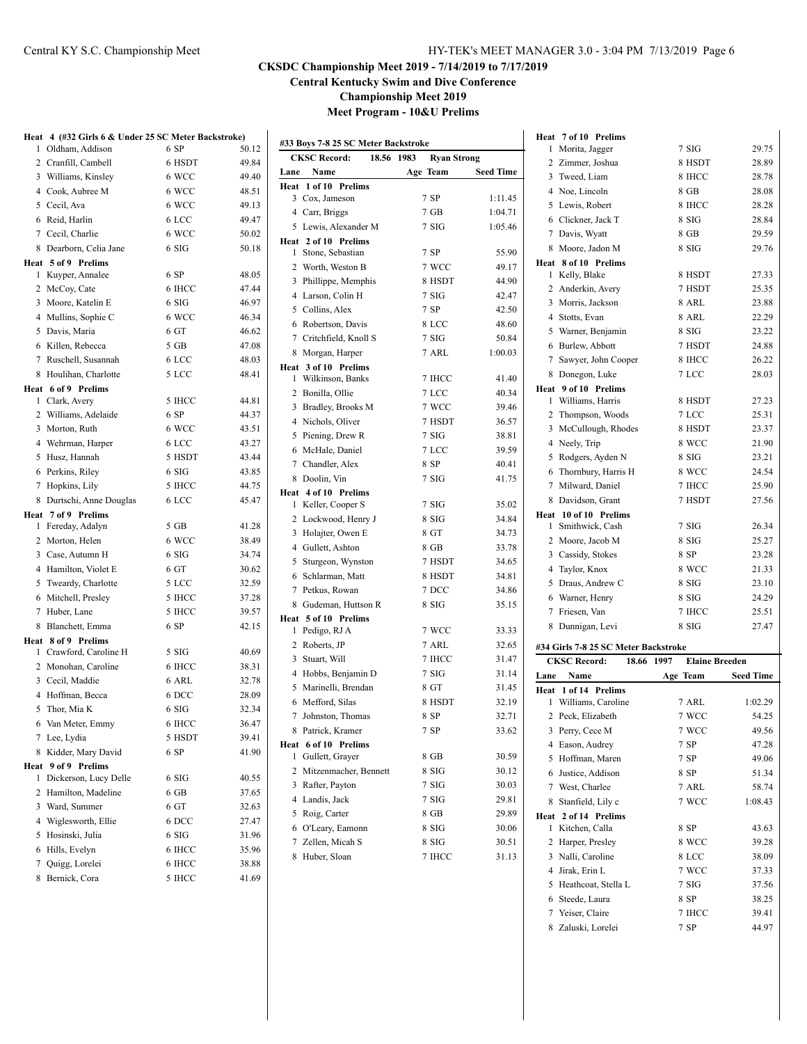### Central KY S.C. Championship Meet HY-TEK's MEET MANAGER 3.0 - 3:04 PM 7/13/2019 Page 6

# **CKSDC Championship Meet 2019 - 7/14/2019 to 7/17/2019**

**Central Kentucky Swim and Dive Conference**

**Championship Meet 2019**

**Meet Program - 10&U Prelims**

|   | 1 Oldham, Addison        | 6 SP   | 50.12 | #33 Boys 7-8 25 SC Meter Backstroke    |                    |                  |
|---|--------------------------|--------|-------|----------------------------------------|--------------------|------------------|
|   | 2 Cranfill, Cambell      | 6 HSDT | 49.84 | <b>CKSC Record:</b><br>18.56 1983      | <b>Ryan Strong</b> |                  |
|   | 3 Williams, Kinsley      | 6 WCC  | 49.40 | Name<br>Lane                           | Age Team           | <b>Seed Time</b> |
|   | 4 Cook, Aubree M         | 6 WCC  | 48.51 | Heat 1 of 10 Prelims                   |                    |                  |
|   | 5 Cecil, Ava             | 6 WCC  | 49.13 | 3 Cox, Jameson                         | 7 SP               | 1:11.45          |
|   | 6 Reid, Harlin           | 6 LCC  | 49.47 | 4 Carr, Briggs                         | 7 GB               | 1:04.71          |
|   | 7 Cecil, Charlie         | 6 WCC  | 50.02 | 5 Lewis, Alexander M                   | 7 SIG              | 1:05.46          |
|   | 8 Dearborn, Celia Jane   | 6 SIG  | 50.18 | Heat 2 of 10 Prelims                   |                    |                  |
|   | Heat 5 of 9 Prelims      |        |       | 1 Stone, Sebastian                     | 7 SP               | 55.90            |
|   | 1 Kuyper, Annalee        | 6 SP   | 48.05 | 2 Worth, Weston B                      | 7 WCC              | 49.17            |
|   | 2 McCoy, Cate            | 6 IHCC | 47.44 | 3 Phillippe, Memphis                   | 8 HSDT             | 44.90            |
|   | 3 Moore, Katelin E       | 6 SIG  | 46.97 | 4 Larson, Colin H                      | 7 SIG              | 42.47            |
|   | 4 Mullins, Sophie C      | 6 WCC  | 46.34 | 5 Collins, Alex                        | $7$ SP             | 42.50            |
|   | 5 Davis, Maria           | 6 GT   | 46.62 | 6 Robertson, Davis                     | 8 LCC              | 48.60            |
|   |                          | 5 GB   | 47.08 | 7 Critchfield, Knoll S                 | 7 SIG              | 50.84            |
|   | 6 Killen, Rebecca        |        |       | 8 Morgan, Harper                       | 7 ARL              | 1:00.03          |
|   | 7 Ruschell, Susannah     | 6 LCC  | 48.03 | Heat 3 of 10 Prelims                   |                    |                  |
|   | 8 Houlihan, Charlotte    | 5 LCC  | 48.41 | 1 Wilkinson, Banks                     | 7 IHCC             | 41.40            |
|   | Heat 6 of 9 Prelims      |        | 44.81 | 2 Bonilla, Ollie                       | 7 LCC              | 40.34            |
|   | 1 Clark, Avery           | 5 IHCC |       | 3 Bradley, Brooks M                    | 7 WCC              | 39.46            |
|   | 2 Williams, Adelaide     | 6 SP   | 44.37 | 4 Nichols, Oliver                      | 7 HSDT             | 36.57            |
|   | 3 Morton, Ruth           | 6 WCC  | 43.51 | 5 Piening, Drew R                      | 7 SIG              | 38.81            |
|   | 4 Wehrman, Harper        | 6 LCC  | 43.27 | 6 McHale, Daniel                       | 7 LCC              | 39.59            |
|   | 5 Husz, Hannah           | 5 HSDT | 43.44 | 7 Chandler, Alex                       | 8 SP               | 40.41            |
|   | 6 Perkins, Riley         | 6 SIG  | 43.85 | 8 Doolin, Vin                          | 7 SIG              | 41.75            |
|   | 7 Hopkins, Lily          | 5 IHCC | 44.75 | Heat 4 of 10 Prelims                   |                    |                  |
|   | 8 Durtschi, Anne Douglas | 6 LCC  | 45.47 | 1 Keller, Cooper S                     | 7 SIG              | 35.02            |
|   | Heat 7 of 9 Prelims      |        |       | 2 Lockwood, Henry J                    | 8 SIG              | 34.84            |
|   | 1 Fereday, Adalyn        | 5 GB   | 41.28 | 3 Holajter, Owen E                     | 8 GT               | 34.73            |
|   | 2 Morton, Helen          | 6 WCC  | 38.49 | 4 Gullett, Ashton                      | 8 GB               | 33.78            |
|   | 3 Case, Autumn H         | 6 SIG  | 34.74 | 5 Sturgeon, Wynston                    | 7 HSDT             | 34.65            |
|   | 4 Hamilton, Violet E     | 6 GT   | 30.62 | 6 Schlarman, Matt                      | 8 HSDT             | 34.81            |
|   | 5 Tweardy, Charlotte     | 5 LCC  | 32.59 | 7 Petkus, Rowan                        | 7 DCC              | 34.86            |
|   | 6 Mitchell, Presley      | 5 IHCC | 37.28 | 8 Gudeman, Huttson R                   | 8 SIG              | 35.15            |
|   | 7 Huber, Lane            | 5 IHCC | 39.57 |                                        |                    |                  |
|   | 8 Blanchett, Emma        | 6 SP   | 42.15 | Heat 5 of 10 Prelims<br>1 Pedigo, RJ A | 7 WCC              | 33.33            |
|   | Heat 8 of 9 Prelims      |        |       | 2 Roberts, JP                          | 7 ARL              | 32.65            |
|   | 1 Crawford, Caroline H   | 5 SIG  | 40.69 | 3 Stuart, Will                         | 7 IHCC             | 31.47            |
|   | 2 Monohan, Caroline      | 6 IHCC | 38.31 |                                        |                    |                  |
|   | 3 Cecil, Maddie          | 6 ARL  | 32.78 | 4 Hobbs, Benjamin D                    | 7 SIG              | 31.14            |
|   | 4 Hoffman, Becca         | 6 DCC  | 28.09 | 5 Marinelli, Brendan                   | 8 GT               | 31.45            |
|   | 5 Thor, Mia K            | 6 SIG  | 32.34 | 6 Mefford, Silas                       | 8 HSDT             | 32.19            |
|   | 6 Van Meter, Emmy        | 6 IHCC | 36.47 | 7 Johnston, Thomas                     | 8 SP               | 32.71            |
|   | 7 Lee, Lydia             | 5 HSDT | 39.41 | 8 Patrick, Kramer                      | 7 SP               | 33.62            |
|   | 8 Kidder, Mary David     | 6 SP   | 41.90 | Heat 6 of 10 Prelims                   |                    |                  |
|   | Heat 9 of 9 Prelims      |        |       | 1 Gullett, Grayer                      | 8 GB               | 30.59            |
|   | 1 Dickerson, Lucy Delle  | 6 SIG  | 40.55 | 2 Mitzenmacher, Bennett                | 8 SIG              | 30.12            |
|   | 2 Hamilton, Madeline     | $6$ GB | 37.65 | 3 Rafter, Payton                       | 7 SIG              | 30.03            |
|   | 3 Ward, Summer           | 6 GT   | 32.63 | 4 Landis, Jack                         | 7 SIG              | 29.81            |
| 4 | Wiglesworth, Ellie       | 6 DCC  | 27.47 | 5 Roig, Carter                         | 8 GB               | 29.89            |
|   | 5 Hosinski, Julia        | 6 SIG  | 31.96 | 6 O'Leary, Eamonn                      | 8 SIG              | 30.06            |
|   |                          |        |       | 7 Zellen, Micah S                      | 8 SIG              | 30.51            |
| 6 | Hills, Evelyn            | 6 IHCC | 35.96 | 8 Huber, Sloan                         | 7 IHCC             | 31.13            |
| 7 | Quigg, Lorelei           | 6 IHCC | 38.88 |                                        |                    |                  |

| Heat 7 of 10 Prelims                     |                       |                  |
|------------------------------------------|-----------------------|------------------|
| 1 Morita, Jagger                         | 7 SIG                 | 29.75            |
| 2 Zimmer, Joshua                         | 8 HSDT                | 28.89            |
| 3 Tweed, Liam                            | 8 IHCC                | 28.78            |
| 4 Noe, Lincoln                           | 8 GB                  | 28.08            |
| 5 Lewis, Robert                          | 8 IHCC                | 28.28            |
| 6 Clickner, Jack T                       | 8 SIG                 | 28.84            |
| 7 Davis, Wyatt                           | 8 GB                  | 29.59            |
| 8 Moore, Jadon M                         | 8 SIG                 | 29.76            |
| Heat 8 of 10 Prelims                     |                       |                  |
| 1 Kelly, Blake                           | 8 HSDT                | 27.33            |
| 2 Anderkin, Avery                        | 7 HSDT                | 25.35            |
| 3 Morris, Jackson                        | 8 ARL                 | 23.88            |
| 4 Stotts, Evan                           | 8 ARL                 | 22.29            |
| 5 Warner, Benjamin                       | 8 SIG                 | 23.22            |
| 6 Burlew, Abbott                         | 7 HSDT                | 24.88            |
| 7 Sawyer, John Cooper                    | 8 IHCC                | 26.22            |
| 8 Donegon, Luke                          | 7 LCC                 | 28.03            |
| Heat 9 of 10 Prelims                     |                       |                  |
| 1 Williams, Harris                       | 8 HSDT                | 27.23            |
| 2 Thompson, Woods                        | 7 LCC                 | 25.31            |
| 3 McCullough, Rhodes                     | 8 HSDT                | 23.37            |
| 4 Neely, Trip                            | 8 WCC                 | 21.90            |
|                                          | 8 SIG                 |                  |
| 5 Rodgers, Ayden N                       |                       | 23.21            |
| 6 Thornbury, Harris H                    | 8 WCC                 | 24.54            |
| 7 Milward, Daniel                        | 7 IHCC                | 25.90            |
| 8 Davidson, Grant                        | 7 HSDT                | 27.56            |
| Heat 10 of 10 Prelims                    |                       |                  |
| 1 Smithwick, Cash                        | 7SIG                  | 26.34            |
| 2 Moore, Jacob M                         | 8 SIG                 | 25.27            |
| 3 Cassidy, Stokes                        | 8 SP                  | 23.28            |
| 4 Taylor, Knox                           | 8 WCC                 | 21.33            |
| 5 Draus, Andrew C                        | 8 SIG                 | 23.10            |
| 6 Warner, Henry                          |                       |                  |
|                                          | 8 SIG                 | 24.29            |
| 7 Friesen, Van                           | 7 IHCC                | 25.51            |
| 8 Dunnigan, Levi                         | 8 SIG                 | 27.47            |
|                                          |                       |                  |
| #34 Girls 7-8 25 SC Meter Backstroke     |                       |                  |
| <b>CKSC Record:</b><br>18.66 1997        | <b>Elaine Breeden</b> |                  |
| Name<br>Lane                             | Age Team              | <b>Seed Time</b> |
| Heat 1 of 14 Prelims                     |                       |                  |
| 1 Williams, Caroline                     | 7 ARL                 | 1:02.29          |
| 2 Peck, Elizabeth                        | 7 WCC                 | 54.25            |
| 3 Perry, Cece M                          | 7 WCC                 | 49.56            |
| 4 Eason, Audrey                          | 7 SP                  | 47.28            |
| 5 Hoffman, Maren                         | 7 SP                  | 49.06            |
| 6 Justice, Addison                       | 8 SP                  | 51.34            |
| 7 West, Charlee                          | 7 ARL                 | 58.74            |
| Stanfield, Lily c<br>8                   | 7 WCC                 | 1:08.43          |
| Heat 2 of 14 Prelims                     |                       |                  |
| Kitchen, Calla<br>1                      | 8 SP                  | 43.63            |
| 2 Harper, Presley                        | 8 WCC                 | 39.28            |
| 3 Nalli, Caroline                        | 8 LCC                 | 38.09            |
| 4 Jirak, Erin L<br>5 Heathcoat, Stella L | 7 WCC<br>7 SIG        | 37.33<br>37.56   |

6 Steede, Laura 8 SP 38.25 7 Yeiser, Claire 7 IHCC 39.41 8 Zaluski, Lorelei 7 SP 44.97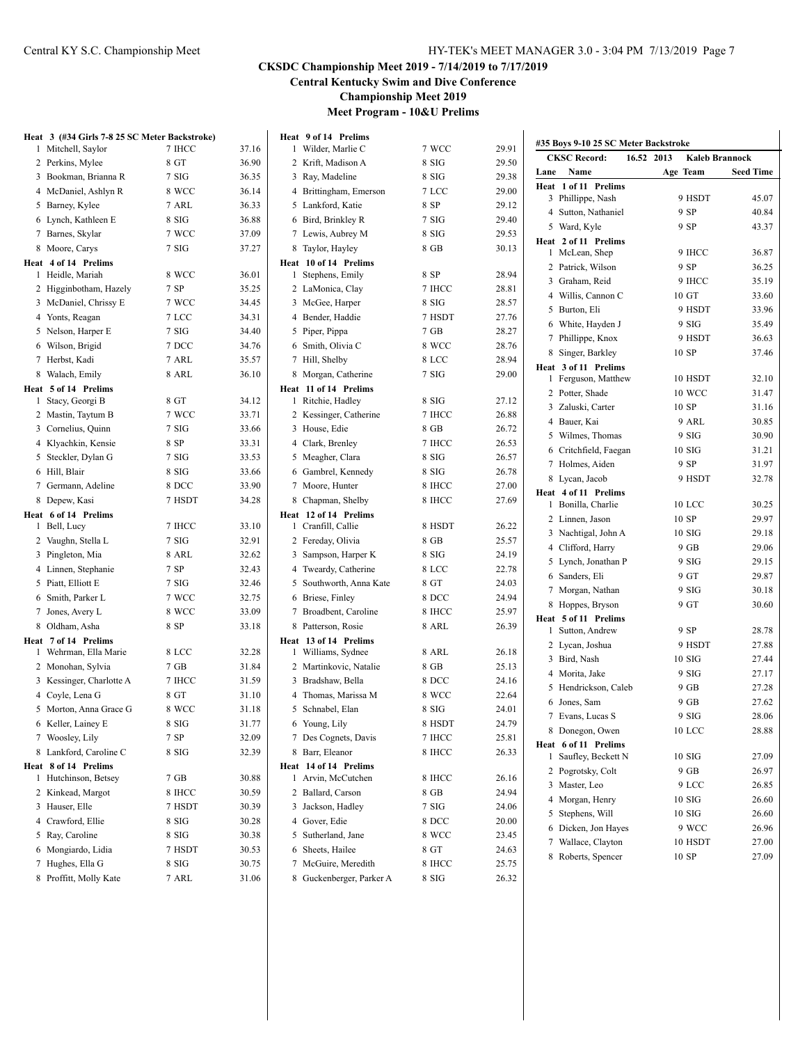**Central Kentucky Swim and Dive Conference**

**Championship Meet 2019**

| Heat 3 (#34 Girls 7-8 25 SC Meter Backstroke) |          |       | Heat 9 of 14 Prelims     |        |       |                                          |                       |                  |
|-----------------------------------------------|----------|-------|--------------------------|--------|-------|------------------------------------------|-----------------------|------------------|
| 1 Mitchell, Saylor                            | 7 IHCC   | 37.16 | 1 Wilder, Marlie C       | 7 WCC  | 29.91 | #35 Boys 9-10 25 SC Meter Backstroke     |                       |                  |
| 2 Perkins, Mylee                              | 8 GT     | 36.90 | 2 Krift, Madison A       | 8 SIG  | 29.50 | <b>CKSC Record:</b><br>16.52 2013        | <b>Kaleb Brannock</b> |                  |
| 3 Bookman, Brianna R                          | 7 SIG    | 36.35 | 3 Ray, Madeline          | 8 SIG  | 29.38 | Lane Name                                | Age Team              | <b>Seed Time</b> |
| 4 McDaniel, Ashlyn R                          | 8 WCC    | 36.14 | 4 Brittingham, Emerson   | 7 LCC  | 29.00 | Heat 1 of 11 Prelims                     |                       |                  |
| 5 Barney, Kylee                               | 7 ARL    | 36.33 | 5 Lankford, Katie        | 8 SP   | 29.12 | 3 Phillippe, Nash                        | 9 HSDT                | 45.07            |
| 6 Lynch, Kathleen E                           | 8 SIG    | 36.88 | 6 Bird, Brinkley R       | 7 SIG  | 29.40 | 4 Sutton, Nathaniel                      | 9 SP                  | 40.84            |
| 7 Barnes, Skylar                              | 7 WCC    | 37.09 | 7 Lewis, Aubrey M        | 8 SIG  | 29.53 | 5 Ward, Kyle                             | 9 SP                  | 43.37            |
| 8 Moore, Carys                                | 7 SIG    | 37.27 | 8 Taylor, Hayley         | 8 GB   | 30.13 | Heat 2 of 11 Prelims                     |                       |                  |
| Heat 4 of 14 Prelims                          |          |       | Heat 10 of 14 Prelims    |        |       | 1 McLean, Shep                           | 9 IHCC                | 36.87            |
| 1 Heidle, Mariah                              | 8 WCC    | 36.01 | 1 Stephens, Emily        | 8 SP   | 28.94 | 2 Patrick, Wilson                        | 9 SP                  | 36.25            |
| 2 Higginbotham, Hazely                        | 7 SP     | 35.25 | 2 LaMonica, Clay         | 7 IHCC | 28.81 | 3 Graham, Reid                           | 9 IHCC                | 35.19            |
| 3 McDaniel, Chrissy E                         | 7 WCC    | 34.45 | 3 McGee, Harper          | 8 SIG  | 28.57 | 4 Willis, Cannon C                       | 10 GT                 | 33.60            |
| 4 Yonts, Reagan                               | 7 LCC    | 34.31 | 4 Bender, Haddie         | 7 HSDT | 27.76 | 5 Burton, Eli                            | 9 HSDT                | 33.96            |
| 5 Nelson, Harper E                            |          | 34.40 |                          | 7 GB   | 28.27 | 6 White, Hayden J                        | 9 SIG                 | 35.49            |
|                                               | 7 SIG    |       | 5 Piper, Pippa           |        |       | 7 Phillippe, Knox                        | 9 HSDT                | 36.63            |
| 6 Wilson, Brigid                              | 7 DCC    | 34.76 | 6 Smith, Olivia C        | 8 WCC  | 28.76 | 8 Singer, Barkley                        | 10 SP                 | 37.46            |
| 7 Herbst, Kadi                                | 7 ARL    | 35.57 | 7 Hill, Shelby           | 8 LCC  | 28.94 | Heat 3 of 11 Prelims                     |                       |                  |
| 8 Walach, Emily                               | 8 ARL    | 36.10 | 8 Morgan, Catherine      | 7 SIG  | 29.00 | 1 Ferguson, Matthew                      | 10 HSDT               | 32.10            |
| Heat 5 of 14 Prelims                          |          |       | Heat 11 of 14 Prelims    |        |       | 2 Potter, Shade                          | <b>10 WCC</b>         | 31.47            |
| 1 Stacy, Georgi B                             | 8 GT     | 34.12 | 1 Ritchie, Hadley        | 8 SIG  | 27.12 | 3 Zaluski, Carter                        | 10 SP                 | 31.16            |
| 2 Mastin, Taytum B                            | 7 WCC    | 33.71 | 2 Kessinger, Catherine   | 7 IHCC | 26.88 | 4 Bauer, Kai                             | 9 ARL                 | 30.85            |
| 3 Cornelius, Quinn                            | 7 SIG    | 33.66 | 3 House, Edie            | 8 GB   | 26.72 | 5 Wilmes, Thomas                         | 9 SIG                 | 30.90            |
| 4 Klyachkin, Kensie                           | 8 SP     | 33.31 | 4 Clark, Brenley         | 7 IHCC | 26.53 | 6 Critchfield, Faegan                    | 10SIG                 | 31.21            |
| 5 Steckler, Dylan G                           | 7 SIG    | 33.53 | 5 Meagher, Clara         | 8 SIG  | 26.57 | 7 Holmes, Aiden                          | 9 SP                  | 31.97            |
| 6 Hill, Blair                                 | 8 SIG    | 33.66 | 6 Gambrel, Kennedy       | 8 SIG  | 26.78 | 8 Lycan, Jacob                           | 9 HSDT                | 32.78            |
| 7 Germann, Adeline                            | 8 DCC    | 33.90 | 7 Moore, Hunter          | 8 IHCC | 27.00 | Heat 4 of 11 Prelims                     |                       |                  |
| 8 Depew, Kasi                                 | 7 HSDT   | 34.28 | 8 Chapman, Shelby        | 8 IHCC | 27.69 | 1 Bonilla, Charlie                       | 10 LCC                | 30.25            |
| Heat 6 of 14 Prelims                          |          |       | Heat 12 of 14 Prelims    |        |       | 2 Linnen, Jason                          | 10 SP                 | 29.97            |
| 1 Bell, Lucy                                  | 7 IHCC   | 33.10 | 1 Cranfill, Callie       | 8 HSDT | 26.22 | 3 Nachtigal, John A                      | 10SIG                 | 29.18            |
| 2 Vaughn, Stella L                            | 7 SIG    | 32.91 | 2 Fereday, Olivia        | 8 GB   | 25.57 | 4 Clifford, Harry                        | 9 GB                  | 29.06            |
| 3 Pingleton, Mia                              | 8 ARL    | 32.62 | 3 Sampson, Harper K      | 8 SIG  | 24.19 | 5 Lynch, Jonathan P                      | 9 SIG                 | 29.15            |
| 4 Linnen, Stephanie                           | 7 SP     | 32.43 | 4 Tweardy, Catherine     | 8 LCC  | 22.78 | 6 Sanders, Eli                           | 9 GT                  | 29.87            |
| 5 Piatt, Elliott E                            | 7 SIG    | 32.46 | 5 Southworth, Anna Kate  | 8 GT   | 24.03 | 7 Morgan, Nathan                         | 9 SIG                 | 30.18            |
| 6 Smith, Parker L                             | 7 WCC    | 32.75 | 6 Briese, Finley         | 8 DCC  | 24.94 | 8 Hoppes, Bryson                         | 9 GT                  | 30.60            |
| 7 Jones, Avery L                              | 8 WCC    | 33.09 | 7 Broadbent, Caroline    | 8 IHCC | 25.97 |                                          |                       |                  |
| 8 Oldham, Asha                                | 8 SP     | 33.18 | 8 Patterson, Rosie       | 8 ARL  | 26.39 | Heat 5 of 11 Prelims<br>1 Sutton, Andrew | 9 SP                  | 28.78            |
| Heat 7 of 14 Prelims                          |          |       | Heat 13 of 14 Prelims    |        |       | 2 Lycan, Joshua                          | 9 HSDT                | 27.88            |
| 1 Wehrman, Ella Marie                         | 8 LCC    | 32.28 | 1 Williams, Sydnee       | 8 ARL  | 26.18 | 3 Bird, Nash                             | 10SIG                 | 27.44            |
| 2 Monohan, Sylvia                             | 7 GB     | 31.84 | 2 Martinkovic, Natalie   | 8 GB   | 25.13 | 4 Morita, Jake                           | 9 SIG                 | 27.17            |
| 3 Kessinger, Charlotte A                      | 7 IHCC   | 31.59 | 3 Bradshaw, Bella        | 8 DCC  | 24.16 |                                          |                       |                  |
| 4 Coyle, Lena G                               | 8 GT     | 31.10 | 4 Thomas, Marissa M      | 8 WCC  | 22.64 | 5 Hendrickson, Caleb                     | 9 GB                  | 27.28            |
| 5 Morton, Anna Grace G                        | 8 WCC    | 31.18 | 5 Schnabel, Elan         | 8 SIG  | 24.01 | 6 Jones, Sam                             | 9 GB                  | 27.62            |
| 6 Keller, Lainey E                            | 8 SIG    | 31.77 | 6 Young, Lily            | 8 HSDT | 24.79 | 7 Evans, Lucas S                         | 9 SIG                 | 28.06            |
| 7 Woosley, Lily                               | $7\,$ SP | 32.09 | 7 Des Cognets, Davis     | 7 IHCC | 25.81 | 8 Donegon, Owen                          | 10 LCC                | 28.88            |
| 8 Lankford, Caroline C                        | 8 SIG    | 32.39 | 8 Barr, Eleanor          | 8 IHCC | 26.33 | Heat 6 of 11 Prelims                     |                       |                  |
| Heat 8 of 14 Prelims                          |          |       | Heat 14 of 14 Prelims    |        |       | 1 Saufley, Beckett N                     | 10 SIG                | 27.09            |
| 1 Hutchinson, Betsey                          | 7 GB     | 30.88 | 1 Arvin, McCutchen       | 8 IHCC | 26.16 | 2 Pogrotsky, Colt                        | 9 GB                  | 26.97            |
| 2 Kinkead, Margot                             | 8 IHCC   | 30.59 | 2 Ballard, Carson        | 8 GB   | 24.94 | 3 Master, Leo                            | 9 LCC                 | 26.85            |
| 3 Hauser, Elle                                | 7 HSDT   | 30.39 | 3 Jackson, Hadley        | 7 SIG  | 24.06 | 4 Morgan, Henry                          | 10 SIG                | 26.60            |
| 4 Crawford, Ellie                             | 8 SIG    | 30.28 | 4 Gover, Edie            | 8 DCC  | 20.00 | 5 Stephens, Will                         | 10 SIG                | 26.60            |
| 5 Ray, Caroline                               | 8 SIG    | 30.38 | 5 Sutherland, Jane       | 8 WCC  | 23.45 | 6 Dicken, Jon Hayes                      | 9 WCC                 | 26.96            |
| 6 Mongiardo, Lidia                            | 7 HSDT   | 30.53 | 6 Sheets, Hailee         | 8 GT   | 24.63 | 7 Wallace, Clayton                       | 10 HSDT               | 27.00            |
| 7 Hughes, Ella G                              | 8 SIG    | 30.75 | 7 McGuire, Meredith      | 8 IHCC | 25.75 | 8 Roberts, Spencer                       | 10 SP                 | 27.09            |
| 8 Proffitt, Molly Kate                        | 7 ARL    | 31.06 | 8 Guckenberger, Parker A | 8 SIG  | 26.32 |                                          |                       |                  |
|                                               |          |       |                          |        |       |                                          |                       |                  |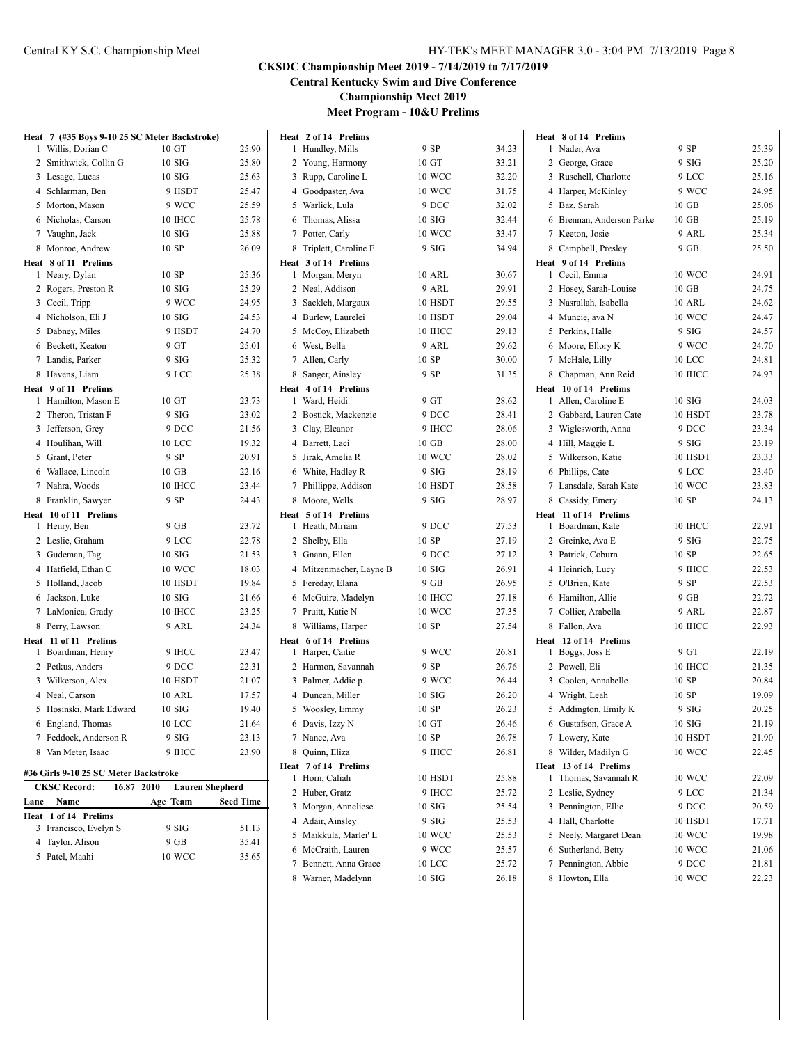**Central Kentucky Swim and Dive Conference**

**Championship Meet 2019**

|   | Heat 7 (#35 Boys 9-10 25 SC Meter Backstroke)                              |                        |                  | Heat 2 of 14 Prelims    |               |       | Heat 8 of 14 Prelims      |               |       |
|---|----------------------------------------------------------------------------|------------------------|------------------|-------------------------|---------------|-------|---------------------------|---------------|-------|
| 1 | Willis, Dorian C                                                           | 10 GT                  | 25.90            | 1 Hundley, Mills        | 9 SP          | 34.23 | 1 Nader, Ava              | 9 SP          | 25.39 |
|   | 2 Smithwick, Collin G                                                      | 10SIG                  | 25.80            | 2 Young, Harmony        | 10 GT         | 33.21 | 2 George, Grace           | 9 SIG         | 25.20 |
|   | 3 Lesage, Lucas                                                            | 10SIG                  | 25.63            | 3 Rupp, Caroline L      | 10 WCC        | 32.20 | 3 Ruschell, Charlotte     | 9 LCC         | 25.16 |
|   | 4 Schlarman, Ben                                                           | 9 HSDT                 | 25.47            | 4 Goodpaster, Ava       | <b>10 WCC</b> | 31.75 | 4 Harper, McKinley        | 9 WCC         | 24.95 |
|   | 5 Morton, Mason                                                            | 9 WCC                  | 25.59            | 5 Warlick, Lula         | 9 DCC         | 32.02 | 5 Baz, Sarah              | 10 GB         | 25.06 |
|   | 6 Nicholas, Carson                                                         | 10 IHCC                | 25.78            | 6 Thomas, Alissa        | 10SIG         | 32.44 | 6 Brennan, Anderson Parke | $10$ GB       | 25.19 |
|   | 7 Vaughn, Jack                                                             | 10SIG                  | 25.88            | 7 Potter, Carly         | <b>10 WCC</b> | 33.47 | 7 Keeton, Josie           | 9 ARL         | 25.34 |
|   | 8 Monroe, Andrew                                                           | 10 SP                  | 26.09            | 8 Triplett, Caroline F  | 9 SIG         | 34.94 | 8 Campbell, Presley       | 9 GB          | 25.50 |
|   | Heat 8 of 11 Prelims                                                       |                        |                  | Heat 3 of 14 Prelims    |               |       | Heat 9 of 14 Prelims      |               |       |
|   | 1 Neary, Dylan                                                             | 10 SP                  | 25.36            | 1 Morgan, Meryn         | <b>10 ARL</b> | 30.67 | 1 Cecil, Emma             | <b>10 WCC</b> | 24.91 |
|   | 2 Rogers, Preston R                                                        | 10SIG                  | 25.29            | 2 Neal, Addison         | 9 ARL         | 29.91 | 2 Hosey, Sarah-Louise     | 10 GB         | 24.75 |
|   | 3 Cecil, Tripp                                                             | 9 WCC                  | 24.95            | 3 Sackleh, Margaux      | 10 HSDT       | 29.55 | 3 Nasrallah, Isabella     | <b>10 ARL</b> | 24.62 |
|   | 4 Nicholson, Eli J                                                         | 10SIG                  | 24.53            | 4 Burlew, Laurelei      | 10 HSDT       | 29.04 | 4 Muncie, ava N           | <b>10 WCC</b> | 24.47 |
|   | 5 Dabney, Miles                                                            | 9 HSDT                 | 24.70            | 5 McCoy, Elizabeth      | 10 IHCC       | 29.13 | 5 Perkins, Halle          | 9 SIG         | 24.57 |
|   | 6 Beckett, Keaton                                                          | 9 GT                   | 25.01            | 6 West, Bella           | 9 ARL         | 29.62 | 6 Moore, Ellory K         | 9 WCC         | 24.70 |
|   | 7 Landis, Parker                                                           | 9 SIG                  | 25.32            | 7 Allen, Carly          | 10 SP         | 30.00 | 7 McHale, Lilly           | 10 LCC        | 24.81 |
|   | 8 Havens, Liam                                                             | 9 LCC                  | 25.38            | 8 Sanger, Ainsley       | 9 SP          | 31.35 | 8 Chapman, Ann Reid       | 10 IHCC       | 24.93 |
|   | Heat 9 of 11 Prelims                                                       |                        |                  | Heat 4 of 14 Prelims    |               |       | Heat 10 of 14 Prelims     |               |       |
|   | 1 Hamilton, Mason E                                                        | $10 \text{ G}$         | 23.73            | 1 Ward, Heidi           | 9 GT          | 28.62 | 1 Allen, Caroline E       | $10$ SIG      | 24.03 |
|   | 2 Theron, Tristan F                                                        | 9 SIG                  | 23.02            | 2 Bostick, Mackenzie    | 9 DCC         | 28.41 | 2 Gabbard, Lauren Cate    | 10 HSDT       | 23.78 |
|   | 3 Jefferson, Grey                                                          | 9 DCC                  | 21.56            | 3 Clay, Eleanor         | 9 IHCC        | 28.06 | 3 Wiglesworth, Anna       | 9 DCC         | 23.34 |
|   | 4 Houlihan, Will                                                           | 10 LCC                 | 19.32            | 4 Barrett, Laci         | $10$ GB       | 28.00 | 4 Hill, Maggie L          | 9 SIG         | 23.19 |
|   | 5 Grant, Peter                                                             | 9 SP                   | 20.91            | 5 Jirak, Amelia R       | 10 WCC        | 28.02 | 5 Wilkerson, Katie        | 10 HSDT       | 23.33 |
|   | 6 Wallace, Lincoln                                                         | $10$ GB                | 22.16            | 6 White, Hadley R       | 9 SIG         | 28.19 | 6 Phillips, Cate          | 9 LCC         | 23.40 |
|   | 7 Nahra, Woods                                                             | 10 IHCC                | 23.44            | 7 Phillippe, Addison    | 10 HSDT       | 28.58 | 7 Lansdale, Sarah Kate    | 10 WCC        | 23.83 |
|   | 8 Franklin, Sawyer                                                         | 9 SP                   | 24.43            | 8 Moore, Wells          | 9 SIG         | 28.97 | 8 Cassidy, Emery          | 10 SP         | 24.13 |
|   | Heat 10 of 11 Prelims                                                      |                        |                  | Heat 5 of 14 Prelims    |               |       | Heat 11 of 14 Prelims     |               |       |
|   | 1 Henry, Ben                                                               | 9 GB                   | 23.72            | 1 Heath, Miriam         | 9 DCC         | 27.53 | 1 Boardman, Kate          | 10 IHCC       | 22.91 |
|   | 2 Leslie, Graham                                                           | 9 LCC                  | 22.78            | 2 Shelby, Ella          | 10 SP         | 27.19 | 2 Greinke, Ava E          | 9 SIG         | 22.75 |
|   | 3 Gudeman, Tag                                                             | 10SIG                  | 21.53            | 3 Gnann, Ellen          | 9 DCC         | 27.12 | 3 Patrick, Coburn         | 10 SP         | 22.65 |
|   | 4 Hatfield, Ethan C                                                        | 10 WCC                 | 18.03            | 4 Mitzenmacher, Layne B | $10$ SIG      | 26.91 | 4 Heinrich, Lucy          | 9 IHCC        | 22.53 |
|   | 5 Holland, Jacob                                                           | 10 HSDT                | 19.84            | 5 Fereday, Elana        | 9 GB          | 26.95 | 5 O'Brien, Kate           | 9 SP          | 22.53 |
|   | 6 Jackson, Luke                                                            | 10SIG                  | 21.66            | 6 McGuire, Madelyn      | 10 IHCC       | 27.18 | 6 Hamilton, Allie         | 9 GB          | 22.72 |
|   | 7 LaMonica, Grady                                                          | 10 IHCC                | 23.25            | 7 Pruitt, Katie N       | 10 WCC        | 27.35 | 7 Collier, Arabella       | 9 ARL         | 22.87 |
|   | 8 Perry, Lawson                                                            | 9 ARL                  | 24.34            | 8 Williams, Harper      | 10 SP         | 27.54 | 8 Fallon, Ava             | 10 IHCC       | 22.93 |
|   | Heat 11 of 11 Prelims                                                      |                        |                  | Heat 6 of 14 Prelims    |               |       | Heat 12 of 14 Prelims     |               |       |
| 1 | Boardman, Henry                                                            | 9 IHCC                 | 23.47            | 1 Harper, Caitie        | 9 WCC         | 26.81 | 1 Boggs, Joss E           | 9 GT          | 22.19 |
|   | 2 Petkus, Anders                                                           | 9 DCC                  | 22.31            | 2 Harmon, Savannah      | 9 SP          | 26.76 | 2 Powell, Eli             | 10 IHCC       | 21.35 |
|   | 3 Wilkerson, Alex                                                          | 10 HSDT                | 21.07            | 3 Palmer, Addie p       | 9 WCC         | 26.44 | 3 Coolen, Annabelle       | 10 SP         | 20.84 |
|   | 4 Neal, Carson                                                             | <b>10 ARL</b>          | 17.57            | 4 Duncan, Miller        | 10 SIG        | 26.20 | 4 Wright, Leah            | 10 SP         | 19.09 |
|   | 5 Hosinski, Mark Edward                                                    | 10SIG                  | 19.40            | 5 Woosley, Emmy         | 10 SP         | 26.23 | 5 Addington, Emily K      | 9 SIG         | 20.25 |
|   | 6 England, Thomas                                                          | <b>10 LCC</b>          | 21.64            | 6 Davis, Izzy N         | 10 GT         | 26.46 | 6 Gustafson, Grace A      | 10 SIG        | 21.19 |
|   | 7 Feddock, Anderson R                                                      | 9 SIG                  | 23.13            | 7 Nance, Ava            | $10\,$ SP     | 26.78 | 7 Lowery, Kate            | 10 HSDT       | 21.90 |
|   | 8 Van Meter, Isaac                                                         | 9 IHCC                 | 23.90            | 8 Quinn, Eliza          | 9 IHCC        | 26.81 | 8 Wilder, Madilyn G       | 10 WCC        | 22.45 |
|   |                                                                            |                        |                  | Heat 7 of 14 Prelims    |               |       | Heat 13 of 14 Prelims     |               |       |
|   | #36 Girls 9-10 25 SC Meter Backstroke<br><b>CKSC Record:</b><br>16.87 2010 | <b>Lauren Shepherd</b> |                  | 1 Horn, Caliah          | 10 HSDT       | 25.88 | 1 Thomas, Savannah R      | 10 WCC        | 22.09 |
|   |                                                                            |                        |                  | 2 Huber, Gratz          | 9 IHCC        | 25.72 | 2 Leslie, Sydney          | 9 LCC         | 21.34 |
|   | <b>Lane Name</b><br>Heat 1 of 14 Prelims                                   | Age Team               | <b>Seed Time</b> | 3 Morgan, Anneliese     | 10SIG         | 25.54 | 3 Pennington, Ellie       | 9 DCC         | 20.59 |
|   | 3 Francisco, Evelyn S                                                      | 9 SIG                  | 51.13            | 4 Adair, Ainsley        | 9 SIG         | 25.53 | 4 Hall, Charlotte         | 10 HSDT       | 17.71 |
|   | 4 Taylor, Alison                                                           | 9 GB                   | 35.41            | 5 Maikkula, Marlei' L   | 10 WCC        | 25.53 | 5 Neely, Margaret Dean    | 10 WCC        | 19.98 |
|   | 5 Patel, Maahi                                                             | 10 WCC                 | 35.65            | 6 McCraith, Lauren      | 9 WCC         | 25.57 | 6 Sutherland, Betty       | 10 WCC        | 21.06 |
|   |                                                                            |                        |                  | 7 Bennett, Anna Grace   | 10 LCC        | 25.72 | 7 Pennington, Abbie       | 9 DCC         | 21.81 |
|   |                                                                            |                        |                  | 8 Warner, Madelynn      | 10SIG         | 26.18 | 8 Howton, Ella            | 10 WCC        | 22.23 |
|   |                                                                            |                        |                  |                         |               |       |                           |               |       |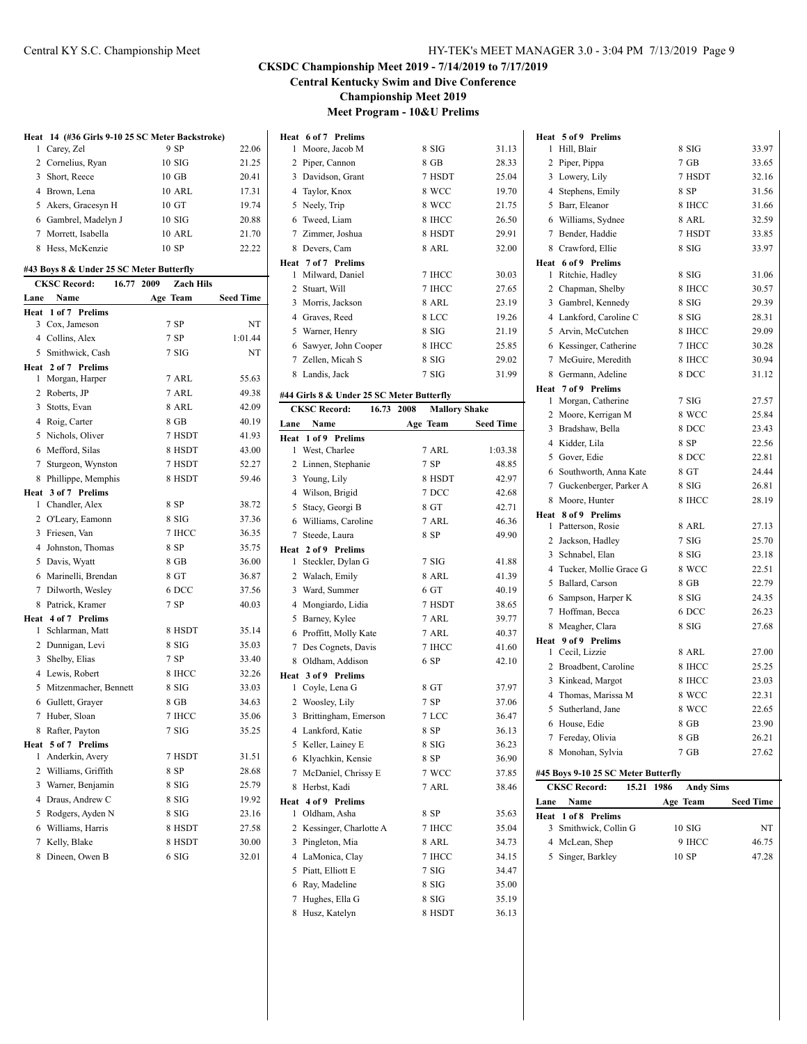**Central Kentucky Swim and Dive Conference**

**Championship Meet 2019**

| 1    | Heat 14 (#36 Girls 9-10 25 SC Meter Backstroke)<br>Carey, Zel | 9 SP                           | 22.06     |
|------|---------------------------------------------------------------|--------------------------------|-----------|
|      | 2 Cornelius, Ryan                                             | 10SIG                          | 21.25     |
|      | 3 Short, Reece                                                | $10$ GB                        | 20.41     |
|      |                                                               |                                |           |
|      | 4 Brown, Lena                                                 | <b>10 ARL</b>                  | 17.31     |
|      | 5 Akers, Gracesyn H                                           | $10 \text{ GT}$                | 19.74     |
|      | 6 Gambrel, Madelyn J                                          | 10SIG                          | 20.88     |
|      | 7 Morrett, Isabella                                           | 10 ARL                         | 21.70     |
| 8    | Hess, McKenzie                                                | 10 SP                          | 22.22     |
|      | #43 Boys 8 & Under 25 SC Meter Butterfly                      |                                |           |
|      | <b>CKSC Record:</b>                                           | 16.77 2009<br><b>Zach Hils</b> |           |
| Lane | Name                                                          | Age Team                       | Seed Time |
|      | Heat 1 of 7 Prelims                                           |                                |           |
|      | 3 Cox, Jameson                                                | 7 SP                           | NT        |
|      | 4 Collins, Alex                                               | $7$ SP                         | 1:01.44   |
|      | 5 Smithwick, Cash                                             | 7 SIG                          | NT        |
|      | Heat 2 of 7 Prelims                                           |                                |           |
|      | 1 Morgan, Harper                                              | 7 ARL                          | 55.63     |
|      | 2 Roberts, JP                                                 | 7 ARL                          | 49.38     |
|      | 3 Stotts, Evan                                                | 8 ARL                          | 42.09     |
|      | 4 Roig, Carter                                                | 8 GB                           | 40.19     |
|      | 5 Nichols, Oliver                                             | 7 HSDT                         | 41.93     |
|      | 6 Mefford, Silas                                              |                                |           |
|      |                                                               | 8 HSDT                         | 43.00     |
|      | 7 Sturgeon, Wynston                                           | 7 HSDT                         | 52.27     |
|      | 8 Phillippe, Memphis                                          | 8 HSDT                         | 59.46     |
|      | Heat 3 of 7 Prelims                                           |                                |           |
|      | 1 Chandler, Alex                                              | 8 SP                           | 38.72     |
|      | 2 O'Leary, Eamonn                                             | 8 SIG                          | 37.36     |
|      | 3 Friesen, Van                                                | 7 IHCC                         | 36.35     |
|      | 4 Johnston, Thomas                                            | 8 SP                           | 35.75     |
|      | 5 Davis, Wyatt                                                | 8 GB                           | 36.00     |
|      | 6 Marinelli, Brendan                                          | 8 GT                           | 36.87     |
|      | 7 Dilworth, Wesley                                            | 6 DCC                          | 37.56     |
|      | 8 Patrick, Kramer                                             | $7$ SP                         | 40.03     |
|      | Heat 4 of 7 Prelims                                           |                                |           |
|      | 1 Schlarman, Matt                                             | 8 HSDT                         | 35.14     |
|      | 2 Dunnigan, Levi                                              | 8 SIG                          | 35.03     |
|      | 3 Shelby, Elias                                               | $7$ SP                         | 33.40     |
|      | 4 Lewis, Robert                                               | 8 IHCC                         | 32.26     |
|      | 5 Mitzenmacher, Bennett                                       | 8 SIG                          | 33.03     |
|      | 6 Gullett, Grayer                                             | 8 GB                           | 34.63     |
| 7    | Huber, Sloan                                                  | 7 IHCC                         | 35.06     |
| 8    | Rafter, Payton                                                | 7 SIG                          | 35.25     |
| Heat | 5 of 7 Prelims                                                |                                |           |
| 1    | Anderkin, Avery                                               | 7 HSDT                         | 31.51     |
| 2    | Williams, Griffith                                            | 8 SP                           | 28.68     |
|      |                                                               |                                |           |
| 3    | Warner, Benjamin                                              | 8 SIG                          | 25.79     |
| 4    | Draus, Andrew C                                               | 8 SIG                          | 19.92     |
| 5    | Rodgers, Ayden N                                              | 8 SIG                          | 23.16     |
|      | 6 Williams, Harris                                            | 8 HSDT                         | 27.58     |
| 7    | Kelly, Blake                                                  | 8 HSDT                         | 30.00     |
| 8    | Dineen, Owen B                                                | 6 SIG                          | 32.01     |

|                | Heat 6 of 7 Prelims                       |          |                  |
|----------------|-------------------------------------------|----------|------------------|
| 1              | Moore, Jacob M                            | 8 SIG    | 31.13            |
|                | 2 Piper, Cannon                           | 8 GB     | 28.33            |
|                | 3 Davidson, Grant                         | 7 HSDT   | 25.04            |
|                | 4 Taylor, Knox                            | 8 WCC    | 19.70            |
|                | 5 Neely, Trip                             | 8 WCC    | 21.75            |
|                | 6 Tweed, Liam                             | 8 IHCC   | 26.50            |
|                | 7 Zimmer, Joshua                          | 8 HSDT   | 29.91            |
|                | 8 Devers, Cam                             | 8 ARL    | 32.00            |
|                | Heat 7 of 7 Prelims                       |          |                  |
|                | 1 Milward, Daniel                         | 7 IHCC   | 30.03            |
|                | 2 Stuart, Will                            | 7 IHCC   | 27.65            |
|                | 3 Morris, Jackson                         | 8 ARL    | 23.19            |
|                | 4 Graves, Reed                            | 8 LCC    | 19.26            |
|                | 5 Warner, Henry                           | 8 SIG    | 21.19            |
|                | 6 Sawyer, John Cooper                     | 8 IHCC   | 25.85            |
|                | 7 Zellen, Micah S                         | 8 SIG    | 29.02            |
|                | 8 Landis, Jack                            | 7 SIG    | 31.99            |
|                | #44 Girls 8 & Under 25 SC Meter Butterfly |          |                  |
|                | CKSC Record: 16.73 2008 Mallory Shake     |          |                  |
| Lane           | Name                                      | Age Team | <b>Seed Time</b> |
|                | Heat 1 of 9 Prelims                       |          |                  |
| 1              | West, Charlee                             | 7 ARL    | 1:03.38          |
|                | 2 Linnen, Stephanie                       | 7 SP     | 48.85            |
|                | 3 Young, Lily                             | 8 HSDT   | 42.97            |
|                | 4 Wilson, Brigid                          | 7 DCC    | 42.68            |
| 5              | Stacy, Georgi B                           | 8 GT     | 42.71            |
|                | 6 Williams, Caroline                      | 7 ARL    | 46.36            |
|                | 7 Steede, Laura                           | 8 SP     | 49.90            |
|                | Heat 2 of 9 Prelims                       |          |                  |
|                | 1 Steckler, Dylan G                       | 7SIG     | 41.88            |
|                | 2 Walach, Emily                           | 8 ARL    | 41.39            |
|                | 3 Ward, Summer                            | 6 GT     | 40.19            |
|                | 4 Mongiardo, Lidia                        | 7 HSDT   | 38.65            |
|                | 5 Barney, Kylee                           | 7 ARL    | 39.77            |
|                | 6 Proffitt, Molly Kate                    | 7 ARL    | 40.37            |
|                | 7 Des Cognets, Davis                      | 7 IHCC   | 41.60            |
|                | 8 Oldham, Addison                         | 6 SP     | 42.10            |
|                | Heat 3 of 9 Prelims                       |          |                  |
| 1              | Coyle, Lena G                             | 8 GT     | 37.97            |
|                | 2 Woosley, Lily                           | $7$ SP   | 37.06            |
| 3              | Brittingham, Emerson                      | 7 LCC    | 36.47            |
|                | 4 Lankford, Katie                         | 8 SP     | 36.13            |
|                | 5 Keller, Lainey E                        | 8 SIG    | 36.23            |
|                | 6 Klyachkin, Kensie                       | 8 SP     | 36.90            |
| 7              | McDaniel, Chrissy E                       | 7 WCC    | 37.85            |
|                | 8 Herbst, Kadi                            | 7 ARL    | 38.46            |
|                | Heat 4 of 9 Prelims                       |          |                  |
| 1              | Oldham, Asha                              | 8 SP     | 35.63            |
| $\overline{2}$ | Kessinger, Charlotte A                    | 7 IHCC   | 35.04            |
|                | 3 Pingleton, Mia                          | 8 ARL    | 34.73            |
|                | 4 LaMonica, Clay                          | 7 IHCC   | 34.15            |
|                | 5 Piatt, Elliott E                        | 7 SIG    | 34.47            |
|                | 6 Ray, Madeline                           | 8 SIG    | 35.00            |
| 7              | Hughes, Ella G                            | 8 SIG    | 35.19            |
|                | 8 Husz, Katelyn                           | 8 HSDT   | 36.13            |

| 5 of 9 Prelims<br>Heat                                  |                          |           |
|---------------------------------------------------------|--------------------------|-----------|
| Hill, Blair<br>1                                        | 8 SIG                    | 33.97     |
| 2<br>Piper, Pippa                                       | $7$ GB                   | 33.65     |
| Lowery, Lily<br>3                                       | 7 HSDT                   | 32.16     |
| 4 Stephens, Emily                                       | 8 SP                     | 31.56     |
| 5 Barr, Eleanor                                         | 8 IHCC                   | 31.66     |
| Williams, Sydnee<br>6                                   | 8 ARL                    | 32.59     |
| Bender, Haddie<br>7                                     | 7 HSDT                   | 33.85     |
| 8 Crawford, Ellie                                       | 8 SIG                    | 33.97     |
| Heat 6 of 9 Prelims                                     |                          |           |
| Ritchie, Hadley<br>1                                    | 8 SIG                    | 31.06     |
| 2 Chapman, Shelby                                       | 8 IHCC                   | 30.57     |
| 3 Gambrel, Kennedy                                      | 8 SIG                    | 29.39     |
| 4 Lankford, Caroline C                                  | 8 SIG                    | 28.31     |
| 5 Arvin, McCutchen                                      | 8 IHCC                   | 29.09     |
| 6 Kessinger, Catherine                                  | 7 IHCC                   | 30.28     |
| McGuire, Meredith<br>7                                  | 8 IHCC                   | 30.94     |
| 8 Germann, Adeline                                      | 8 DCC                    | 31.12     |
| Heat 7 of 9 Prelims                                     |                          |           |
| Morgan, Catherine<br>1                                  | 7 SIG                    | 27.57     |
| 2 Moore, Kerrigan M                                     | 8 WCC                    | 25.84     |
| 3 Bradshaw, Bella                                       | 8 DCC                    | 23.43     |
| 4 Kidder, Lila                                          | 8 SP                     | 22.56     |
| 5 Gover, Edie                                           | 8 DCC                    | 22.81     |
| Southworth, Anna Kate<br>6                              | 8 <sub>GT</sub>          | 24.44     |
| Guckenberger, Parker A<br>7                             | 8 SIG                    | 26.81     |
| 8 Moore, Hunter                                         | 8 IHCC                   | 28.19     |
| Heat 8 of 9 Prelims<br>Patterson, Rosie<br>$\mathbf{1}$ | 8 ARL                    | 27.13     |
| 2 Jackson, Hadley                                       | 7 SIG                    | 25.70     |
| 3 Schnabel, Elan                                        | 8 SIG                    | 23.18     |
| 4 Tucker, Mollie Grace G                                | 8 WCC                    | 22.51     |
| 5<br>Ballard, Carson                                    | 8 GB                     | 22.79     |
| 6 Sampson, Harper K                                     | 8 SIG                    | 24.35     |
| Hoffman, Becca<br>7                                     | 6 DCC                    | 26.23     |
| Meagher, Clara<br>8                                     | 8 SIG                    | 27.68     |
| Heat 9 of 9 Prelims                                     |                          |           |
| 1 Cecil, Lizzie                                         | 8 ARL                    | 27.00     |
| 2 Broadbent, Caroline                                   | 8 IHCC                   | 25.25     |
| 3 Kinkead, Margot                                       | 8 IHCC                   | 23.03     |
| 4 Thomas, Marissa M                                     | 8 WCC                    | 22.31     |
| 5<br>Sutherland, Jane                                   | 8 WCC                    | 22.65     |
| 6 House, Edie                                           | 8 GB                     | 23.90     |
| 7<br>Fereday, Olivia                                    | 8 GB                     | 26.21     |
| Monohan, Sylvia<br>8                                    | 7 GB                     | 27.62     |
| #45 Boys 9-10 25 SC Meter Butterfly                     |                          |           |
| <b>CKSC Record:</b><br>15.21                            | 1986<br><b>Andy Sims</b> |           |
| Lane<br>Name                                            | Age Team                 | Seed Time |
| 1 of 8<br><b>Prelims</b><br>Heat                        |                          |           |
| 3 Smithwick, Collin G                                   | 10SIG                    | NT        |
| 4 McLean, Shep                                          | 9 IHCC                   | 46.75     |
| 5 Singer, Barkley                                       | 10 SP                    | 47.28     |
|                                                         |                          |           |
|                                                         |                          |           |
|                                                         |                          |           |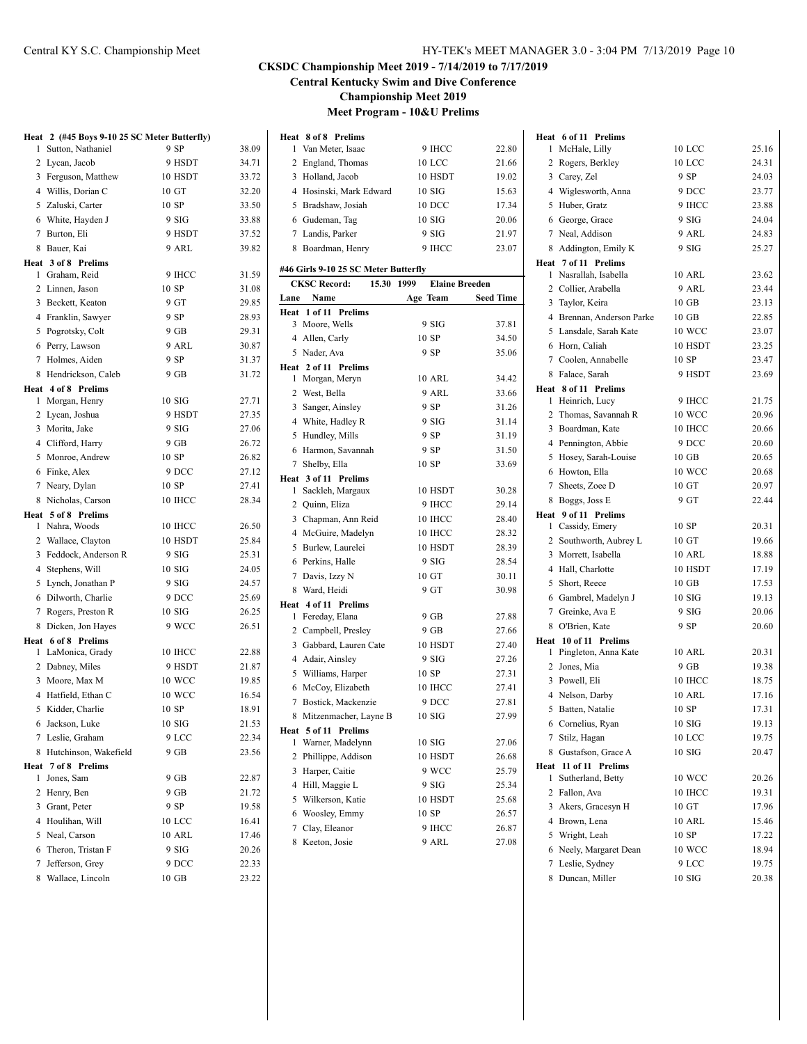### **CKSDC Championship Meet 2019 - 7/14/2019 to 7/17/2019 Central Kentucky Swim and Dive Conference**

**Championship Meet 2019**

|   | Heat 2 (#45 Boys 9-10 25 SC Meter Butterfly) |               |       |
|---|----------------------------------------------|---------------|-------|
|   | 1 Sutton, Nathaniel                          | 9 SP          | 38.09 |
|   | 2 Lycan, Jacob                               | 9 HSDT        | 34.71 |
|   | 3 Ferguson, Matthew                          | 10 HSDT       | 33.72 |
|   | 4 Willis, Dorian C                           | 10 GT         | 32.20 |
|   | 5 Zaluski, Carter                            | 10 SP         | 33.50 |
|   | 6 White, Hayden J                            | 9 SIG         | 33.88 |
|   | 7 Burton, Eli                                | 9 HSDT        | 37.52 |
|   | 8 Bauer, Kai                                 | 9 ARL         | 39.82 |
|   | Heat 3 of 8 Prelims                          |               |       |
|   | 1 Graham, Reid                               | 9 IHCC        | 31.59 |
|   | 2 Linnen, Jason                              | 10 SP         | 31.08 |
|   | 3 Beckett, Keaton                            | 9 GT          | 29.85 |
|   | 4 Franklin, Sawyer                           | 9 SP          | 28.93 |
|   | 5 Pogrotsky, Colt                            | 9 GB          | 29.31 |
|   | 6 Perry, Lawson                              | 9 ARL         | 30.87 |
|   | 7 Holmes, Aiden                              | 9 SP          | 31.37 |
|   | 8 Hendrickson, Caleb                         | 9 GB          | 31.72 |
|   | Heat 4 of 8 Prelims                          |               |       |
|   | 1 Morgan, Henry                              | 10SIG         | 27.71 |
|   | 2 Lycan, Joshua                              | 9 HSDT        | 27.35 |
|   | 3 Morita, Jake                               | 9 SIG         | 27.06 |
|   | 4 Clifford, Harry                            | 9 GB          | 26.72 |
|   | 5 Monroe, Andrew                             | 10 SP         | 26.82 |
|   | 6 Finke, Alex                                | 9 DCC         | 27.12 |
|   | 7 Neary, Dylan                               | 10 SP         | 27.41 |
|   | 8 Nicholas, Carson                           | 10 IHCC       | 28.34 |
|   | Heat 5 of 8 Prelims                          |               |       |
|   | 1 Nahra, Woods                               | 10 IHCC       | 26.50 |
|   | 2 Wallace, Clayton                           | 10 HSDT       | 25.84 |
|   | 3 Feddock, Anderson R                        | 9 SIG         | 25.31 |
|   | 4 Stephens, Will                             | 10 SIG        | 24.05 |
|   | 5 Lynch, Jonathan P                          | 9 SIG         | 24.57 |
|   | 6 Dilworth, Charlie                          | 9 DCC         | 25.69 |
|   | 7 Rogers, Preston R                          | 10 SIG        | 26.25 |
|   | 8 Dicken, Jon Hayes                          | 9 WCC         | 26.51 |
|   | Heat 6 of 8 Prelims                          |               |       |
|   | 1 LaMonica, Grady                            | 10 IHCC       | 22.88 |
|   | 2 Dabney, Miles                              | 9 HSDT        | 21.87 |
|   | 3 Moore, Max M                               | 10 WCC        | 19.85 |
|   | 4 Hatfield, Ethan C                          | 10 WCC        | 16.54 |
|   | 5 Kidder, Charlie                            | 10 SP         | 18.91 |
|   | 6 Jackson, Luke                              | 10SIG         | 21.53 |
|   | 7 Leslie, Graham                             | 9 LCC         | 22.34 |
| 8 | Hutchinson, Wakefield                        | 9 GB          | 23.56 |
|   | Heat 7 of 8 Prelims                          |               |       |
| 1 | Jones, Sam                                   | 9 GB          | 22.87 |
|   | 2 Henry, Ben                                 | 9 GB          | 21.72 |
|   | 3 Grant, Peter                               | 9 SP          | 19.58 |
|   | 4 Houlihan, Will                             | 10 LCC        | 16.41 |
|   | 5 Neal, Carson                               | <b>10 ARL</b> | 17.46 |
|   | 6 Theron, Tristan F                          | 9 SIG         | 20.26 |
| 7 | Jefferson, Grey                              | 9 DCC         | 22.33 |
|   | 8 Wallace, Lincoln                           | $10$ GB       | 23.22 |

|      | Heat 8 of 8 Prelims                  |                       |                  |
|------|--------------------------------------|-----------------------|------------------|
| 1    | Van Meter, Isaac                     | 9 IHCC                | 22.80            |
|      | 2 England, Thomas                    | 10 LCC                | 21.66            |
|      | 3 Holland, Jacob                     | 10 HSDT               | 19.02            |
|      | 4 Hosinski, Mark Edward              | 10SIG                 | 15.63            |
|      | 5 Bradshaw, Josiah                   | 10 DCC                | 17.34            |
|      | 6 Gudeman, Tag                       | 10SIG                 | 20.06            |
|      | 7 Landis, Parker                     | 9 SIG                 | 21.97            |
| 8    |                                      | 9 IHCC                | 23.07            |
|      | Boardman, Henry                      |                       |                  |
|      | #46 Girls 9-10 25 SC Meter Butterfly |                       |                  |
|      | <b>CKSC Record:</b><br>15.30 1999    | <b>Elaine Breeden</b> |                  |
| Lane | Name                                 | Age Team              | <b>Seed Time</b> |
|      | Heat 1 of 11 Prelims                 |                       |                  |
| 3    | Moore, Wells                         | 9 SIG                 | 37.81            |
|      | 4 Allen, Carly                       | 10 SP                 | 34.50            |
|      | 5 Nader, Ava                         | 9 SP                  | 35.06            |
|      | Heat 2 of 11 Prelims                 |                       |                  |
| 1    | Morgan, Meryn                        | <b>10 ARL</b>         | 34.42            |
|      | 2 West, Bella                        | 9 ARL                 | 33.66            |
|      | 3 Sanger, Ainsley                    | 9 SP                  | 31.26            |
|      | 4 White, Hadley R                    | 9 SIG                 | 31.14            |
|      | 5 Hundley, Mills                     | 9 SP                  | 31.19            |
|      | 6 Harmon, Savannah                   | 9 SP                  | 31.50            |
|      | 7 Shelby, Ella                       | 10 SP                 | 33.69            |
|      | Heat 3 of 11 Prelims                 |                       |                  |
| 1    | Sackleh, Margaux                     | 10 HSDT               | 30.28            |
|      | 2 Quinn, Eliza                       | 9 IHCC                | 29.14            |
|      | 3 Chapman, Ann Reid                  | 10 IHCC               | 28.40            |
|      | 4 McGuire, Madelyn                   | 10 IHCC               | 28.32            |
|      | 5 Burlew, Laurelei                   | 10 HSDT               | 28.39            |
|      | 6 Perkins, Halle                     | 9 SIG                 | 28.54            |
|      | 7 Davis, Izzy N                      | 10 GT                 | 30.11            |
| 8    | Ward, Heidi                          | 9 GT                  | 30.98            |
|      | Heat 4 of 11 Prelims                 |                       |                  |
| 1    | Fereday, Elana                       | 9 GB                  | 27.88            |
|      | 2 Campbell, Presley                  | 9 GB                  | 27.66            |
|      | 3 Gabbard, Lauren Cate               | 10 HSDT               | 27.40            |
|      | 4 Adair, Ainsley                     | 9 SIG                 | 27.26            |
|      | 5 Williams, Harper                   | 10 SP                 | 27.31            |
|      | 6 McCoy, Elizabeth                   | 10 IHCC               | 27.41            |
|      | 7 Bostick, Mackenzie                 | 9 DCC                 | 27.81            |
|      | 8 Mitzenmacher, Layne B              | 10 SIG                | 27.99            |
| Heat | 5 of 11 Prelims                      |                       |                  |
| 1    | Warner, Madelynn                     | 10SIG                 | 27.06            |
| 2    | Phillippe, Addison                   | 10 HSDT               | 26.68            |
| 3    | Harper, Caitie                       | 9 WCC                 | 25.79            |
| 4    | Hill, Maggie L                       | 9 SIG                 | 25.34            |
|      | 5 Wilkerson, Katie                   | 10 HSDT               | 25.68            |
|      | 6 Woosley, Emmy                      | 10 SP                 | 26.57            |
| 7    | Clay, Eleanor                        | 9 IHCC                | 26.87            |
| 8    | Keeton, Josie                        | 9 ARL                 | 27.08            |

|   | Heat 6 of 11 Prelims                     |                 |                |
|---|------------------------------------------|-----------------|----------------|
| 1 | McHale, Lilly                            | 10 LCC          | 25.16          |
|   | 2 Rogers, Berkley                        | 10 LCC          | 24.31          |
|   | 3 Carey, Zel                             | 9 SP            | 24.03          |
|   | 4 Wiglesworth, Anna                      | 9 DCC           | 23.77          |
|   | 5 Huber, Gratz                           | 9 IHCC          | 23.88          |
|   | 6 George, Grace                          | 9 SIG           | 24.04          |
|   | 7 Neal, Addison                          | 9 ARL           | 24.83          |
|   | 8 Addington, Emily K                     | 9 SIG           | 25.27          |
|   | Heat 7 of 11 Prelims                     |                 |                |
|   | 1 Nasrallah, Isabella                    | <b>10 ARL</b>   | 23.62          |
|   | 2 Collier, Arabella                      | 9 ARL           | 23.44          |
|   | 3 Taylor, Keira                          | 10 GB           | 23.13          |
|   | 4 Brennan, Anderson Parke                | $10$ GB         | 22.85          |
|   | 5 Lansdale, Sarah Kate                   | 10 WCC          | 23.07          |
|   | 6 Horn, Caliah                           | 10 HSDT         | 23.25          |
|   | 7 Coolen, Annabelle                      | 10 SP           | 23.47          |
|   | 8 Falace, Sarah                          | 9 HSDT          | 23.69          |
|   | Heat 8 of 11 Prelims                     |                 |                |
|   | 1 Heinrich, Lucy                         | 9 IHCC          | 21.75          |
|   | 2 Thomas, Savannah R                     | 10 WCC          | 20.96          |
|   | 3 Boardman, Kate                         | 10 IHCC         | 20.66          |
|   | 4 Pennington, Abbie                      | 9 DCC<br>10 GB  | 20.60          |
|   | 5 Hosey, Sarah-Louise                    | 10 WCC          | 20.65          |
|   | 6 Howton, Ella<br>7 Sheets, Zoee D       | 10 GT           | 20.68<br>20.97 |
|   |                                          | 9 GT            |                |
|   | 8 Boggs, Joss E                          |                 | 22.44          |
|   | Heat 9 of 11 Prelims<br>1 Cassidy, Emery | 10 SP           | 20.31          |
|   | 2 Southworth, Aubrey L                   | $10 \text{ GT}$ | 19.66          |
|   | 3 Morrett, Isabella                      | <b>10 ARL</b>   | 18.88          |
|   | 4 Hall, Charlotte                        | 10 HSDT         | 17.19          |
|   | 5 Short, Reece                           | 10 GB           | 17.53          |
|   | 6 Gambrel, Madelyn J                     | 10SIG           | 19.13          |
|   | 7 Greinke, Ava E                         | 9 SIG           | 20.06          |
|   | 8 O'Brien, Kate                          | 9 SP            | 20.60          |
|   | Heat 10 of 11 Prelims                    |                 |                |
|   | 1 Pingleton, Anna Kate                   | <b>10 ARL</b>   | 20.31          |
|   | 2 Jones, Mia                             | 9 GB            | 19.38          |
|   | 3 Powell, Eli                            | 10 IHCC         | 18.75          |
|   | 4 Nelson, Darby                          | <b>10 ARL</b>   | 17.16          |
|   | 5 Batten, Natalie                        | 10 SP           | 17.31          |
|   | 6 Cornelius, Ryan                        | 10SIG           | 19.13          |
| 7 | Stilz, Hagan                             | 10 LCC          | 19.75          |
| 8 | Gustafson, Grace A                       | 10SIG           | 20.47          |
|   | Heat 11 of 11 Prelims                    |                 |                |
| 1 | Sutherland, Betty                        | 10 WCC          | 20.26          |
|   | 2 Fallon, Ava                            | 10 IHCC         | 19.31          |
|   | 3 Akers, Gracesyn H                      | 10GT            | 17.96          |
|   | 4 Brown, Lena                            | 10 ARL          | 15.46          |
|   | 5 Wright, Leah                           | 10 SP           | 17.22          |
|   | 6 Neely, Margaret Dean                   | 10 WCC          | 18.94          |
| 7 | Leslie, Sydney                           | 9 LCC           | 19.75          |
|   | 8 Duncan, Miller                         | 10SIG           | 20.38          |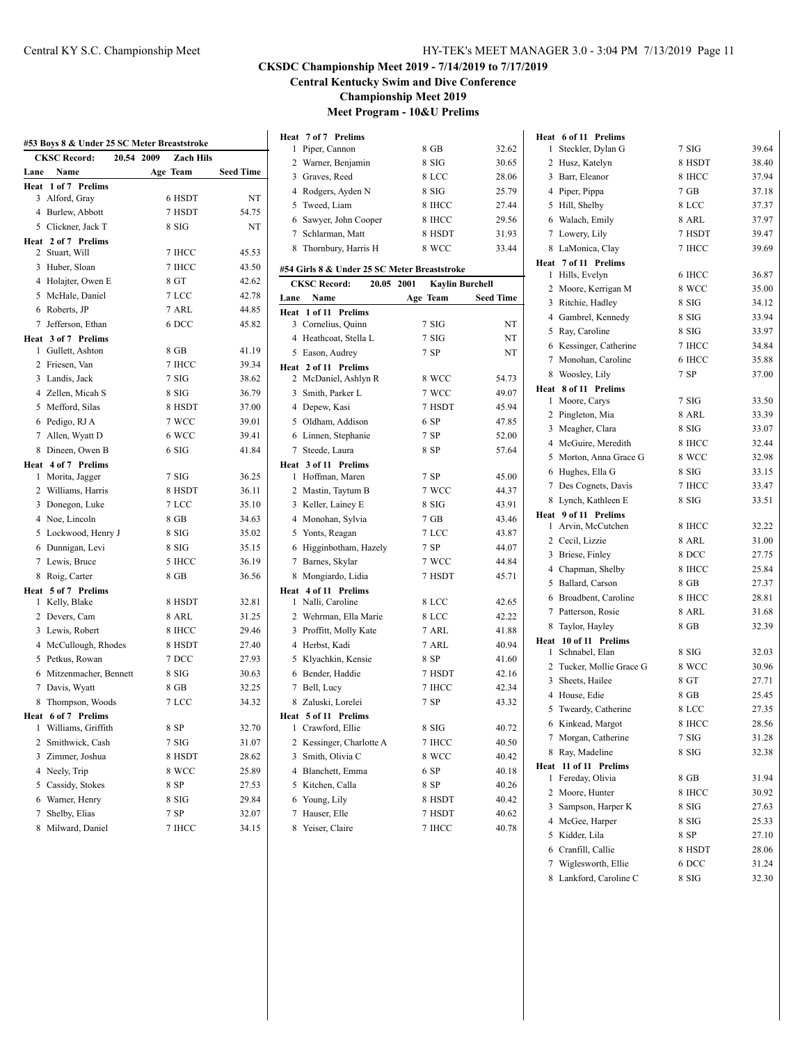|                 | #53 Boys 8 & Under 25 SC Meter Breaststroke<br>CKSC Record: 20.54 2009 | <b>Zach Hils</b>   |       |
|-----------------|------------------------------------------------------------------------|--------------------|-------|
|                 | Lane Name                                                              | Age Team Seed Time |       |
|                 | Heat 1 of 7 Prelims                                                    |                    |       |
|                 | 3 Alford, Gray                                                         | 6 HSDT             | NT    |
|                 | 4 Burlew, Abbott                                                       | 7 HSDT             | 54.75 |
|                 | 5 Clickner, Jack T                                                     | 8 SIG              | NT    |
|                 | Heat 2 of 7 Prelims                                                    |                    |       |
|                 | 2 Stuart, Will                                                         | 7 IHCC             | 45.53 |
|                 | 3 Huber, Sloan                                                         | 7 IHCC             | 43.50 |
|                 | 4 Holajter, Owen E                                                     | 8 GT               | 42.62 |
|                 | 5 McHale, Daniel                                                       | 7 LCC              | 42.78 |
|                 | 6 Roberts, JP                                                          | 7 ARL              | 44.85 |
|                 | 7 Jefferson, Ethan                                                     | 6 DCC              | 45.82 |
|                 | Heat 3 of 7 Prelims                                                    |                    |       |
| 1               | Gullett, Ashton                                                        | 8 GB               | 41.19 |
|                 | 2 Friesen, Van                                                         | 7 IHCC             | 39.34 |
|                 | 3 Landis, Jack                                                         | 7SIG               | 38.62 |
|                 | 4 Zellen, Micah S                                                      | 8 SIG              | 36.79 |
|                 | 5 Mefford, Silas                                                       | 8 HSDT             | 37.00 |
|                 | 6 Pedigo, RJ A                                                         | 7 WCC              | 39.01 |
|                 | 7 Allen, Wyatt D                                                       | 6 WCC              | 39.41 |
|                 | 8 Dineen, Owen B                                                       | 6 SIG              | 41.84 |
|                 | Heat 4 of 7 Prelims                                                    |                    |       |
| 1               | Morita, Jagger                                                         | 7SIG               | 36.25 |
|                 | 2 Williams, Harris                                                     | 8 HSDT             | 36.11 |
|                 | 3 Donegon, Luke                                                        | 7 LCC              | 35.10 |
|                 | 4 Noe, Lincoln                                                         | 8 GB               | 34.63 |
|                 | 5 Lockwood, Henry J                                                    | 8 SIG              | 35.02 |
|                 | 6 Dunnigan, Levi                                                       | 8 SIG              | 35.15 |
|                 | 7 Lewis, Bruce                                                         | 5 IHCC             | 36.19 |
|                 |                                                                        | 8 GB               | 36.56 |
|                 | 8 Roig, Carter                                                         |                    |       |
|                 | Heat 5 of 7 Prelims<br>1 Kelly, Blake                                  | 8 HSDT             | 32.81 |
|                 | 2 Devers, Cam                                                          | 8 ARL              | 31.25 |
|                 | 3 Lewis, Robert                                                        | 8 IHCC             | 29.46 |
|                 | 4 McCullough, Rhodes                                                   | 8 HSDT             | 27.40 |
|                 | 5 Petkus, Rowan                                                        | 7 DCC              | 27.93 |
|                 |                                                                        | 8 SIG              |       |
|                 | 6 Mitzenmacher, Bennett                                                |                    | 30.63 |
|                 | 7 Davis, Wyatt                                                         | 8 GB               | 32.25 |
|                 | 8 Thompson, Woods                                                      | 7 LCC              | 34.32 |
| 1               | Heat 6 of 7 Prelims<br>Williams, Griffith                              | 8 SP               | 32.70 |
|                 |                                                                        |                    |       |
|                 | 2 Smithwick, Cash                                                      | 7SIG               | 31.07 |
|                 | 3 Zimmer, Joshua                                                       | 8 HSDT             | 28.62 |
|                 | 4 Neely, Trip                                                          | 8 WCC              | 25.89 |
|                 | 5 Cassidy, Stokes                                                      | 8 SP               | 27.53 |
|                 | 6 Warner, Henry                                                        | 8 SIG              | 29.84 |
| $7\overline{ }$ | Shelby, Elias                                                          | 7 SP               | 32.07 |

Milward, Daniel 7 IHCC 34.15

| HY-TEK's MEET MANAGER 3.0 - 3:04 PM 7/13/2019 Page 11 |  |  |
|-------------------------------------------------------|--|--|
|-------------------------------------------------------|--|--|

**CKSDC Championship Meet 2019 - 7/14/2019 to 7/17/2019**

**Central Kentucky Swim and Dive Conference**

**Championship Meet 2019**

| Heat | 7 of 7 Prelims                               |                                      |                  |
|------|----------------------------------------------|--------------------------------------|------------------|
| 1    | Piper, Cannon                                | 8 GB                                 | 32.62            |
|      | 2 Warner, Benjamin                           | 8 SIG                                | 30.65            |
|      | 3 Graves, Reed                               | 8 LCC                                | 28.06            |
|      | 4 Rodgers, Ayden N                           | 8 SIG                                | 25.79            |
|      | 5 Tweed, Liam                                | 8 IHCC                               | 27.44            |
|      | 6 Sawyer, John Cooper                        | 8 IHCC                               | 29.56            |
|      | 7 Schlarman, Matt                            | 8 HSDT                               | 31.93            |
|      | 8 Thornbury, Harris H                        | 8 WCC                                | 33.44            |
|      | #54 Girls 8 & Under 25 SC Meter Breaststroke |                                      |                  |
|      | <b>CKSC Record:</b>                          | 20.05 2001<br><b>Kaylin Burchell</b> |                  |
|      | Lane Name                                    | Age Team                             | <b>Seed Time</b> |
| Heat | 1 of 11 Prelims                              |                                      |                  |
|      | 3 Cornelius, Quinn                           | 7SIG                                 | NT               |
|      | 4 Heathcoat, Stella L                        | 7SIG                                 | NT               |
|      | 5 Eason, Audrey                              | $7$ SP                               | NT               |
|      | Heat 2 of 11 Prelims                         |                                      |                  |
|      | 2 McDaniel, Ashlyn R                         | 8 WCC                                | 54.73            |
|      | 3 Smith, Parker L                            | 7 WCC                                | 49.07            |
|      | 4 Depew, Kasi                                | 7 HSDT                               | 45.94            |
|      | 5 Oldham, Addison                            | 6 SP                                 | 47.85            |
|      | 6 Linnen, Stephanie                          | $7$ SP                               | 52.00            |
|      | 7 Steede, Laura                              | 8 SP                                 | 57.64            |
|      | Heat 3 of 11 Prelims                         |                                      |                  |
| 1    | Hoffman, Maren                               | $7$ SP                               | 45.00            |
|      | 2 Mastin, Taytum B                           | 7 WCC                                | 44.37            |
|      | 3 Keller, Lainey E                           | 8 SIG                                | 43.91            |
|      | 4 Monohan, Sylvia                            | $7$ GB                               | 43.46            |
|      | 5 Yonts, Reagan                              | 7 LCC                                | 43.87            |
|      | 6 Higginbotham, Hazely                       | 7 SP                                 | 44.07            |
|      | 7 Barnes, Skylar                             | 7 WCC                                | 44.84            |
| 8    | Mongiardo, Lidia                             | 7 HSDT                               | 45.71            |
|      | Heat 4 of 11 Prelims                         |                                      |                  |
| 1    | Nalli, Caroline                              | 8 LCC                                | 42.65            |
|      | 2 Wehrman, Ella Marie                        | 8 LCC                                | 42.22            |
|      | 3 Proffitt, Molly Kate                       | 7 ARL                                | 41.88            |
|      | 4 Herbst, Kadi                               | 7 ARL                                | 40.94            |
|      | 5 Klyachkin, Kensie                          | 8 SP                                 | 41.60            |
|      | 6 Bender, Haddie                             | 7 HSDT                               | 42.16            |
|      | 7 Bell, Lucy                                 | 7 IHCC                               | 42.34            |
|      | 8 Zaluski, Lorelei                           | $7$ SP                               | 43.32            |
|      | Heat 5 of 11 Prelims                         |                                      |                  |
| 1    | Crawford, Ellie                              | 8 SIG                                | 40.72            |
| 2    | Kessinger, Charlotte A                       | 7 IHCC                               | 40.50            |
| 3    | Smith, Olivia C                              | 8 WCC                                | 40.42            |
| 4    | Blanchett, Emma                              | 6 SP                                 | 40.18            |
| 5    | Kitchen, Calla                               | 8 SP                                 | 40.26            |
| 6    | Young, Lily                                  | 8 HSDT                               | 40.42            |
| 7    | Hauser, Elle                                 | 7 HSDT                               | 40.62            |
| 8    | Yeiser, Claire                               | 7 IHCC                               | 40.78            |

| Heat 6 of 11 Prelims                           |                  |                |
|------------------------------------------------|------------------|----------------|
| Steckler, Dylan G<br>1                         | 7 SIG            | 39.64          |
| 2 Husz, Katelyn                                | 8 HSDT           | 38.40          |
| 3 Barr, Eleanor                                | 8 IHCC           | 37.94          |
| 4 Piper, Pippa                                 | $7$ GB           | 37.18          |
| 5 Hill, Shelby                                 | 8 LCC            | 37.37          |
| 6 Walach, Emily                                | 8 ARL            | 37.97          |
| 7 Lowery, Lily                                 | 7 HSDT           | 39.47          |
| 8 LaMonica, Clay                               | 7 IHCC           | 39.69          |
| Heat 7 of 11 Prelims<br>1 Hills, Evelyn        | 6 IHCC           | 36.87          |
| 2 Moore, Kerrigan M                            | 8 WCC            | 35.00          |
| 3 Ritchie, Hadley                              | 8 SIG            | 34.12          |
| 4 Gambrel, Kennedy                             | 8 <sub>SIG</sub> | 33.94          |
| 5 Ray, Caroline                                | 8 SIG            | 33.97          |
| 6 Kessinger, Catherine                         | 7 IHCC           | 34.84          |
| 7 Monohan, Caroline                            | 6 IHCC           | 35.88          |
| 8 Woosley, Lily                                | 7SP              | 37.00          |
| Heat 8 of 11 Prelims                           |                  |                |
| 1 Moore, Carys                                 | 7SIG             | 33.50          |
| 2 Pingleton, Mia                               | 8 ARL            | 33.39          |
| 3 Meagher, Clara                               | 8 SIG            | 33.07          |
| 4 McGuire, Meredith                            | 8 IHCC           | 32.44          |
| 5 Morton, Anna Grace G                         | 8 WCC            | 32.98          |
| 6 Hughes, Ella G                               | 8 SIG            | 33.15          |
| 7 Des Cognets, Davis                           | 7 IHCC           | 33.47          |
| 8 Lynch, Kathleen E                            | 8 SIG            | 33.51          |
| Heat 9 of 11 Prelims                           |                  |                |
| 1 Arvin, McCutchen                             | 8 IHCC           | 32.22          |
| 2 Cecil, Lizzie                                | 8 ARL            | 31.00          |
| 3 Briese, Finley                               | 8 DCC            | 27.75          |
| 4 Chapman, Shelby                              | 8 IHCC           | 25.84          |
| 5 Ballard, Carson                              | 8 GB             | 27.37          |
| 6 Broadbent, Caroline                          | 8 IHCC           | 28.81          |
| 7 Patterson, Rosie                             | 8 ARL            | 31.68          |
| 8 Taylor, Hayley                               | 8 GB             | 32.39          |
| Heat 10 of 11 Prelims                          |                  |                |
| Schnabel, Elan<br>1                            | 8 SIG            | 32.03          |
| 2 Tucker, Mollie Grace G                       | 8 WCC            | 30.96          |
| 3 Sheets, Hailee                               | 8 GT             | 27.71          |
| 4 House, Edie                                  | 8 GB             | 25.45          |
| 5 Tweardy, Catherine                           | 8 LCC            | 27.35          |
| 6 Kinkead, Margot                              | 8 IHCC           | 28.56          |
| Morgan, Catherine<br>7                         | 7 SIG            | 31.28          |
| 8 Ray, Madeline                                | 8 SIG            | 32.38          |
| Heat 11 of 11 Prelims                          |                  |                |
| 1 Fereday, Olivia                              | 8 GB             | 31.94          |
| 2 Moore, Hunter                                | 8 IHCC           | 30.92          |
| 3 Sampson, Harper K                            | 8 SIG<br>8 SIG   | 27.63<br>25.33 |
| 4 McGee, Harper<br>5 Kidder, Lila              | 8 SP             |                |
| 6 Cranfill, Callie                             | 8 HSDT           | 27.10<br>28.06 |
|                                                | 6 DCC            | 31.24          |
| 7 Wiglesworth, Ellie<br>8 Lankford, Caroline C | 8 SIG            | 32.30          |
|                                                |                  |                |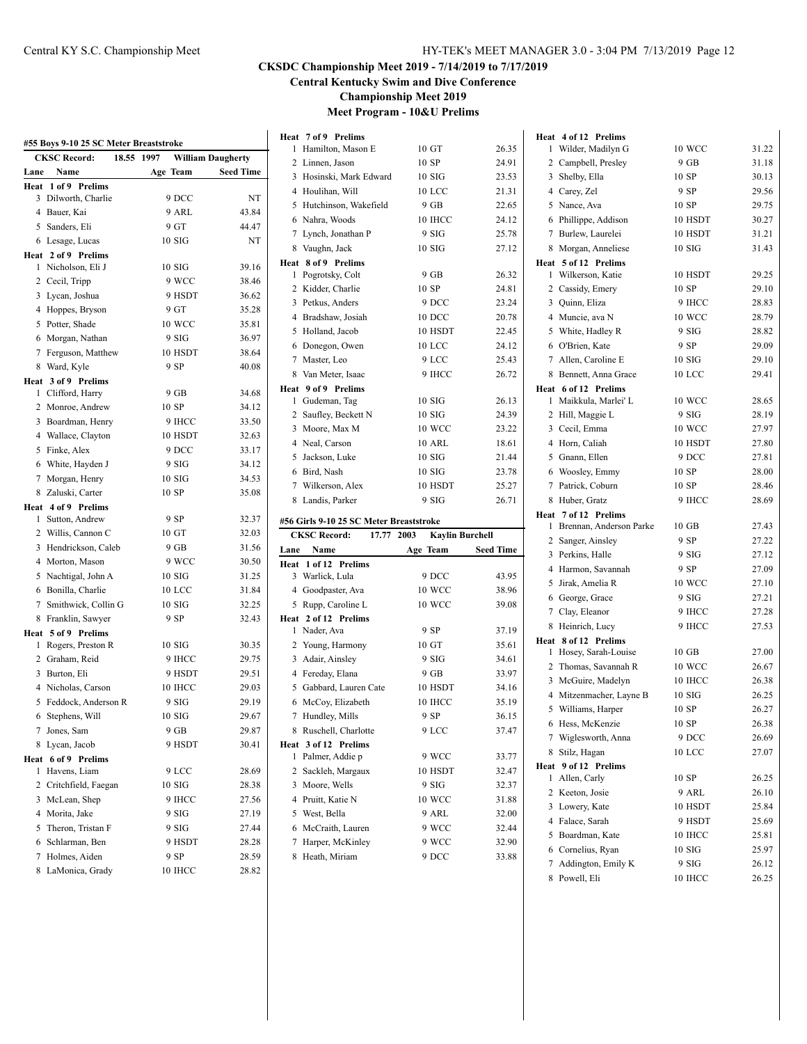| #55 Boys 9-10 25 SC Meter Breaststroke<br><b>CKSC Record:</b><br>18.55 1997<br><b>William Daugherty</b> |                       |          |                  |  |
|---------------------------------------------------------------------------------------------------------|-----------------------|----------|------------------|--|
| Lane                                                                                                    | Name                  | Age Team | <b>Seed Time</b> |  |
|                                                                                                         | Heat 1 of 9 Prelims   |          |                  |  |
|                                                                                                         | 3 Dilworth, Charlie   | 9 DCC    | NT               |  |
|                                                                                                         | 4 Bauer, Kai          | 9 ARL    | 43.84            |  |
|                                                                                                         | 5 Sanders, Eli        | 9 GT     | 44.47            |  |
|                                                                                                         | 6 Lesage, Lucas       | 10SIG    | NT               |  |
|                                                                                                         | Heat 2 of 9 Prelims   |          |                  |  |
|                                                                                                         | 1 Nicholson, Eli J    | 10 SIG   | 39.16            |  |
|                                                                                                         | 2 Cecil, Tripp        | 9 WCC    | 38.46            |  |
|                                                                                                         | 3 Lycan, Joshua       | 9 HSDT   | 36.62            |  |
|                                                                                                         | 4 Hoppes, Bryson      | 9 GT     | 35.28            |  |
|                                                                                                         | 5 Potter, Shade       | 10 WCC   | 35.81            |  |
|                                                                                                         | 6 Morgan, Nathan      | 9 SIG    | 36.97            |  |
|                                                                                                         | 7 Ferguson, Matthew   | 10 HSDT  | 38.64            |  |
|                                                                                                         | 8 Ward, Kyle          | 9 SP     | 40.08            |  |
|                                                                                                         | Heat 3 of 9 Prelims   |          |                  |  |
|                                                                                                         | 1 Clifford, Harry     | $9$ GB   | 34.68            |  |
|                                                                                                         | 2 Monroe, Andrew      | 10 SP    | 34.12            |  |
|                                                                                                         | 3 Boardman, Henry     | 9 IHCC   | 33.50            |  |
|                                                                                                         | 4 Wallace, Clayton    | 10 HSDT  | 32.63            |  |
|                                                                                                         | 5 Finke, Alex         | 9 DCC    | 33.17            |  |
|                                                                                                         | 6 White, Hayden J     | 9 SIG    | 34.12            |  |
|                                                                                                         | 7 Morgan, Henry       | 10SIG    | 34.53            |  |
|                                                                                                         | 8 Zaluski, Carter     | 10 SP    | 35.08            |  |
|                                                                                                         | Heat 4 of 9 Prelims   |          |                  |  |
| 1                                                                                                       | Sutton, Andrew        | 9 SP     | 32.37            |  |
|                                                                                                         | 2 Willis, Cannon C    | 10 GT    | 32.03            |  |
|                                                                                                         | 3 Hendrickson, Caleb  | 9 GB     | 31.56            |  |
|                                                                                                         | 4 Morton, Mason       | 9 WCC    | 30.50            |  |
|                                                                                                         | 5 Nachtigal, John A   | 10SIG    | 31.25            |  |
|                                                                                                         | 6 Bonilla, Charlie    | 10 LCC   | 31.84            |  |
|                                                                                                         | 7 Smithwick, Collin G | 10SIG    | 32.25            |  |
|                                                                                                         | 8 Franklin, Sawyer    | 9 SP     | 32.43            |  |
|                                                                                                         | Heat 5 of 9 Prelims   |          |                  |  |
|                                                                                                         | 1 Rogers, Preston R   | 10SIG    | 30.35            |  |
|                                                                                                         | 2 Graham, Reid        | 9 IHCC   | 29.75            |  |
|                                                                                                         | 3 Burton, Eli         | 9 HSDT   | 29.51            |  |
|                                                                                                         | 4 Nicholas, Carson    | 10 IHCC  | 29.03            |  |
|                                                                                                         | 5 Feddock, Anderson R | 9 SIG    | 29.19            |  |
|                                                                                                         | 6 Stephens, Will      | 10SIG    | 29.67            |  |
|                                                                                                         | 7 Jones, Sam          | 9 GB     | 29.87            |  |
|                                                                                                         | 8 Lycan, Jacob        | 9 HSDT   | 30.41            |  |
|                                                                                                         | Heat 6 of 9 Prelims   |          |                  |  |
|                                                                                                         | 1 Havens, Liam        | 9 LCC    | 28.69            |  |
|                                                                                                         | 2 Critchfield, Faegan | 10SIG    | 28.38            |  |
|                                                                                                         | 3 McLean, Shep        | 9 IHCC   | 27.56            |  |
|                                                                                                         | 4 Morita, Jake        | 9 SIG    | 27.19            |  |
|                                                                                                         | 5 Theron, Tristan F   | 9 SIG    | 27.44            |  |
|                                                                                                         | 6 Schlarman, Ben      | 9 HSDT   | 28.28            |  |

 Holmes, Aiden 9 SP 28.59 LaMonica, Grady 10 IHCC 28.82

### Central KY S.C. Championship Meet HY-TEK's MEET MANAGER 3.0 - 3:04 PM 7/13/2019 Page 12

**Heat 4 of 12 Prelims**

## **CKSDC Championship Meet 2019 - 7/14/2019 to 7/17/2019**

**Central Kentucky Swim and Dive Conference**

**Championship Meet 2019**

|        | Heat 7 of 9 Prelims                     |                        |                  | Heat           |
|--------|-----------------------------------------|------------------------|------------------|----------------|
| 1      | Hamilton, Mason E                       | 10 GT                  | 26.35            | 1              |
| 2      | Linnen, Jason                           | 10 SP                  | 24.91            | 2              |
|        | 3 Hosinski, Mark Edward                 | 10SIG                  | 23.53            | 3              |
|        | 4 Houlihan, Will                        | 10 LCC                 | 21.31            | $\overline{4}$ |
|        | 5 Hutchinson, Wakefield                 | 9 GB                   | 22.65            | 5              |
|        | 6 Nahra, Woods                          | 10 IHCC                | 24.12            | 6              |
| 7      | Lynch, Jonathan P                       | 9 SIG                  | 25.78            | 7              |
| 8      | Vaughn, Jack                            | 10SIG                  | 27.12            | 8              |
|        | Heat 8 of 9 Prelims                     |                        |                  | Heat           |
|        | 1 Pogrotsky, Colt                       | 9 GB                   | 26.32            | 1              |
|        | 2 Kidder, Charlie                       | 10 SP                  | 24.81            | 2              |
|        | 3 Petkus, Anders                        | 9 DCC                  | 23.24            | 3              |
|        | 4 Bradshaw, Josiah                      | 10 DCC                 | 20.78            | $\overline{4}$ |
|        | 5 Holland, Jacob                        | 10 HSDT                | 22.45            | 5              |
|        | 6 Donegon, Owen                         | 10 LCC                 | 24.12            | 6              |
| 7      | Master, Leo                             | 9 LCC                  | 25.43            | 7              |
|        | 8 Van Meter, Isaac                      | 9 IHCC                 | 26.72            | 8              |
|        | Heat 9 of 9 Prelims                     |                        |                  | Heat           |
|        | 1 Gudeman, Tag                          | 10SIG                  | 26.13            | 1              |
|        | 2 Saufley, Beckett N                    | 10SIG                  | 24.39            | 2              |
|        | 3 Moore, Max M                          | 10 WCC                 | 23.22            | 3              |
|        | 4 Neal, Carson                          | <b>10 ARL</b>          | 18.61            | 4              |
|        | 5 Jackson, Luke                         | 10SIG                  | 21.44            | 5              |
|        |                                         |                        |                  |                |
|        | 6 Bird, Nash                            | 10SIG                  | 23.78            | 6<br>7         |
|        | 7 Wilkerson, Alex                       | 10 HSDT                | 25.27            |                |
|        | 8 Landis, Parker                        | 9 SIG                  | 26.71            | 8              |
|        | #56 Girls 9-10 25 SC Meter Breaststroke |                        |                  | Heat<br>1      |
|        | <b>CKSC Record:</b><br>17.77 2003       | <b>Kaylin Burchell</b> |                  | 2              |
| Lane   | Name                                    | Age Team               | <b>Seed Time</b> | 3              |
| Heat   | 1 of 12 Prelims                         |                        |                  | $\overline{4}$ |
| 3      | Warlick, Lula                           | 9 DCC                  | 43.95            | 5              |
|        | 4 Goodpaster, Ava                       | <b>10 WCC</b>          | 38.96            |                |
| 5      | Rupp, Caroline L                        |                        |                  |                |
|        |                                         | 10 WCC                 | 39.08            | 6              |
|        | Heat 2 of 12 Prelims                    |                        |                  | 7              |
|        | 1 Nader, Ava                            | 9 SP                   | 37.19            | 8              |
|        | 2 Young, Harmony                        | $10 \text{ GT}$        | 35.61            | Heat           |
|        | 3 Adair, Ainsley                        | 9 SIG                  | 34.61            | 1              |
|        | 4 Fereday, Elana                        | 9 GB                   | 33.97            | 2              |
|        | 5 Gabbard, Lauren Cate                  | 10 HSDT                | 34.16            | 3              |
|        | 6 McCoy, Elizabeth                      | 10 IHCC                | 35.19            | 4              |
|        | 7 Hundley, Mills                        | 9 SP                   | 36.15            | 5              |
|        | 8 Ruschell, Charlotte                   | 9 LCC                  | 37.47            | 6              |
|        | Heat 3 of 12 Prelims                    |                        |                  | 7              |
| 1      | Palmer, Addie p                         | 9 WCC                  | 33.77            | 8              |
| 2      | Sackleh, Margaux                        | 10 HSDT                | 32.47            | Heat           |
|        | 3 Moore, Wells                          | 9 SIG                  | 32.37            | 1              |
|        | 4 Pruitt, Katie N                       | 10 WCC                 |                  | 2              |
|        |                                         |                        | 31.88            | 3              |
|        | 5 West, Bella                           | 9 ARL                  | 32.00            | 4              |
| 6      | McCraith, Lauren                        | 9 WCC                  | 32.44            | 5              |
| 7<br>8 | Harper, McKinley<br>Heath, Miriam       | 9 WCC<br>9 DCC         | 32.90<br>33.88   | 6              |

| 1               | Wilder, Madilyn G       | 10 WCC  | 31.22 |
|-----------------|-------------------------|---------|-------|
| $\overline{2}$  | Campbell, Presley       | 9 GB    | 31.18 |
| 3               | Shelby, Ella            | 10 SP   | 30.13 |
|                 | 4 Carey, Zel            | 9 SP    | 29.56 |
| 5               | Nance, Ava              | 10 SP   | 29.75 |
| 6               | Phillippe, Addison      | 10 HSDT | 30.27 |
| 7               | Burlew, Laurelei        | 10 HSDT | 31.21 |
| 8               | Morgan, Anneliese       | 10SIG   | 31.43 |
| Heat            | 5 of 12 Prelims         |         |       |
| 1               | Wilkerson, Katie        | 10 HSDT | 29.25 |
| 2               | Cassidy, Emery          | 10 SP   | 29.10 |
|                 | 3 Quinn, Eliza          | 9 IHCC  | 28.83 |
|                 | 4 Muncie, ava N         | 10 WCC  | 28.79 |
| 5               | White, Hadley R         | 9 SIG   | 28.82 |
| 6               | O'Brien, Kate           | 9 SP    | 29.09 |
| $\tau$          | Allen, Caroline E       | 10SIG   | 29.10 |
| 8               | Bennett, Anna Grace     | 10 LCC  | 29.41 |
|                 | Heat 6 of 12 Prelims    |         |       |
| 1               | Maikkula, Marlei' L     | 10 WCC  | 28.65 |
| $\mathbf{2}$    | Hill, Maggie L          | 9 SIG   | 28.19 |
|                 | 3 Cecil, Emma           | 10 WCC  | 27.97 |
|                 | 4 Horn, Caliah          | 10 HSDT | 27.80 |
| 5               | Gnann, Ellen            | 9 DCC   | 27.81 |
|                 | 6 Woosley, Emmy         | 10 SP   | 28.00 |
| 7               | Patrick, Coburn         | 10 SP   | 28.46 |
| 8               | Huber, Gratz            | 9 IHCC  | 28.69 |
|                 | Heat 7 of 12 Prelims    |         |       |
|                 |                         |         |       |
| 1               | Brennan, Anderson Parke | $10$ GB | 27.43 |
| 2               | Sanger, Ainsley         | 9 SP    | 27.22 |
| 3               | Perkins, Halle          | 9 SIG   | 27.12 |
|                 | 4 Harmon, Savannah      | 9 SP    | 27.09 |
| 5               | Jirak, Amelia R         | 10 WCC  | 27.10 |
|                 | 6 George, Grace         | 9 SIG   | 27.21 |
| 7               | Clay, Eleanor           | 9 IHCC  | 27.28 |
| 8               | Heinrich, Lucy          | 9 IHCC  | 27.53 |
|                 | Heat 8 of 12 Prelims    |         |       |
| 1               | Hosey, Sarah-Louise     | $10$ GB | 27.00 |
| 2               | Thomas, Savannah R      | 10 WCC  | 26.67 |
| 3               | McGuire, Madelyn        | 10 IHCC | 26.38 |
| 4               | Mitzenmacher, Layne B   | 10 SIG  | 26.25 |
| 5               | Williams, Harper        | 10 SP   | 26.27 |
| 6               | Hess, McKenzie          | 10 SP   | 26.38 |
|                 | 7 Wiglesworth, Anna     | 9 DCC   | 26.69 |
| 8               | Stilz, Hagan            | 10 LCC  | 27.07 |
| Heat            | 9 of 12 Prelims         |         |       |
| 1               | Allen, Carly            | 10 SP   | 26.25 |
|                 | 2 Keeton, Josie         | 9 ARL   | 26.10 |
|                 | 3 Lowery, Kate          | 10 HSDT | 25.84 |
|                 | 4 Falace, Sarah         | 9 HSDT  | 25.69 |
| 5               | Boardman, Kate          | 10 IHCC | 25.81 |
|                 | 6 Cornelius, Ryan       | 10SIG   | 25.97 |
| $7\phantom{.0}$ | Addington, Emily K      | 9 SIG   | 26.12 |